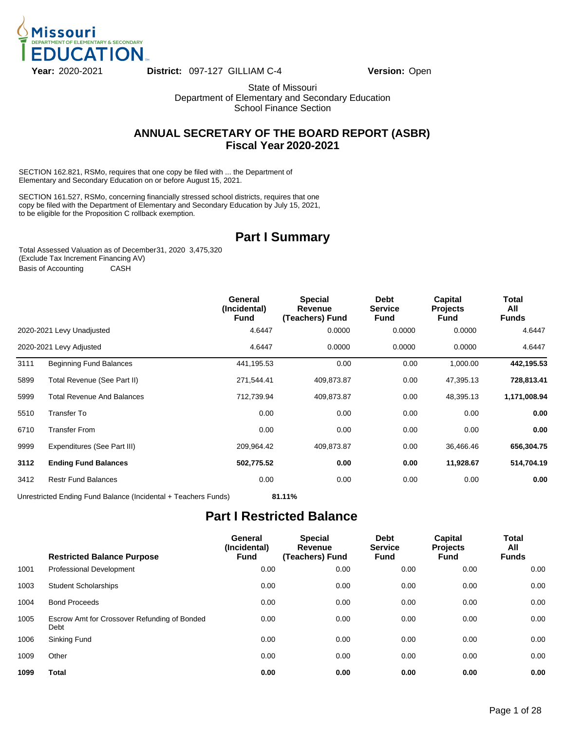

State of Missouri Department of Elementary and Secondary Education School Finance Section

### **ANNUAL SECRETARY OF THE BOARD REPORT (ASBR) Fiscal Year 2020-2021**

SECTION 162.821, RSMo, requires that one copy be filed with ... the Department of Elementary and Secondary Education on or before August 15, 2021.

SECTION 161.527, RSMo, concerning financially stressed school districts, requires that one copy be filed with the Department of Elementary and Secondary Education by July 15, 2021, to be eligible for the Proposition C rollback exemption.

### **Part I Summary**

Total Assessed Valuation as of December 31, 2020 3,475,320 (Exclude Tax Increment Financing AV) Basis of Accounting CASH

|      |                                   | General<br>(Incidental)<br><b>Fund</b> | <b>Special</b><br>Revenue<br>(Teachers) Fund | <b>Debt</b><br><b>Service</b><br>Fund | <b>Capital</b><br><b>Projects</b><br><b>Fund</b> | Total<br>All<br><b>Funds</b> |
|------|-----------------------------------|----------------------------------------|----------------------------------------------|---------------------------------------|--------------------------------------------------|------------------------------|
|      | 2020-2021 Levy Unadjusted         | 4.6447                                 | 0.0000                                       | 0.0000                                | 0.0000                                           | 4.6447                       |
|      | 2020-2021 Levy Adjusted           | 4.6447                                 | 0.0000                                       | 0.0000                                | 0.0000                                           | 4.6447                       |
| 3111 | <b>Beginning Fund Balances</b>    | 441,195.53                             | 0.00                                         | 0.00                                  | 1,000.00                                         | 442,195.53                   |
| 5899 | Total Revenue (See Part II)       | 271,544.41                             | 409,873.87                                   | 0.00                                  | 47,395.13                                        | 728,813.41                   |
| 5999 | <b>Total Revenue And Balances</b> | 712,739.94                             | 409,873.87                                   | 0.00                                  | 48,395.13                                        | 1,171,008.94                 |
| 5510 | Transfer To                       | 0.00                                   | 0.00                                         | 0.00                                  | 0.00                                             | 0.00                         |
| 6710 | <b>Transfer From</b>              | 0.00                                   | 0.00                                         | 0.00                                  | 0.00                                             | 0.00                         |
| 9999 | Expenditures (See Part III)       | 209,964.42                             | 409,873.87                                   | 0.00                                  | 36,466.46                                        | 656,304.75                   |
| 3112 | <b>Ending Fund Balances</b>       | 502,775.52                             | 0.00                                         | 0.00                                  | 11,928.67                                        | 514,704.19                   |
| 3412 | <b>Restr Fund Balances</b>        | 0.00                                   | 0.00                                         | 0.00                                  | 0.00                                             | 0.00                         |
|      | .                                 |                                        |                                              |                                       |                                                  |                              |

Unrestricted Ending Fund Balance (Incidental + Teachers Funds) **81.11%**

### **Part I Restricted Balance**

|      | <b>Restricted Balance Purpose</b>                    | General<br>(Incidental)<br><b>Fund</b> | <b>Special</b><br>Revenue<br>(Teachers) Fund | <b>Debt</b><br><b>Service</b><br><b>Fund</b> | <b>Capital</b><br><b>Projects</b><br><b>Fund</b> | Total<br>All<br><b>Funds</b> |
|------|------------------------------------------------------|----------------------------------------|----------------------------------------------|----------------------------------------------|--------------------------------------------------|------------------------------|
| 1001 | <b>Professional Development</b>                      | 0.00                                   | 0.00                                         | 0.00                                         | 0.00                                             | 0.00                         |
| 1003 | <b>Student Scholarships</b>                          | 0.00                                   | 0.00                                         | 0.00                                         | 0.00                                             | 0.00                         |
| 1004 | <b>Bond Proceeds</b>                                 | 0.00                                   | 0.00                                         | 0.00                                         | 0.00                                             | 0.00                         |
| 1005 | Escrow Amt for Crossover Refunding of Bonded<br>Debt | 0.00                                   | 0.00                                         | 0.00                                         | 0.00                                             | 0.00                         |
| 1006 | Sinking Fund                                         | 0.00                                   | 0.00                                         | 0.00                                         | 0.00                                             | 0.00                         |
| 1009 | Other                                                | 0.00                                   | 0.00                                         | 0.00                                         | 0.00                                             | 0.00                         |
| 1099 | Total                                                | 0.00                                   | 0.00                                         | 0.00                                         | 0.00                                             | 0.00                         |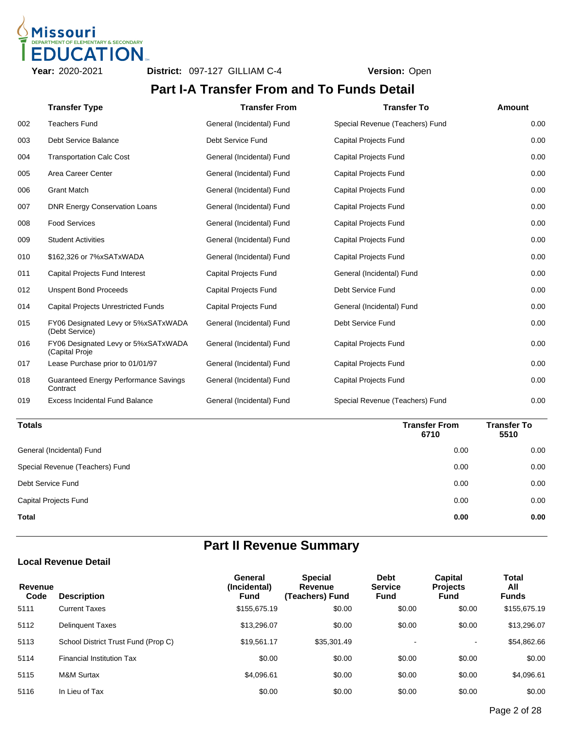

### **Part I-A Transfer From and To Funds Detail**

|     | <b>Transfer Type</b>                                     | <b>Transfer From</b>         | <b>Transfer To</b>              | Amount |
|-----|----------------------------------------------------------|------------------------------|---------------------------------|--------|
| 002 | <b>Teachers Fund</b>                                     | General (Incidental) Fund    | Special Revenue (Teachers) Fund | 0.00   |
| 003 | Debt Service Balance                                     | Debt Service Fund            | <b>Capital Projects Fund</b>    | 0.00   |
| 004 | <b>Transportation Calc Cost</b>                          | General (Incidental) Fund    | <b>Capital Projects Fund</b>    | 0.00   |
| 005 | Area Career Center                                       | General (Incidental) Fund    | <b>Capital Projects Fund</b>    | 0.00   |
| 006 | <b>Grant Match</b>                                       | General (Incidental) Fund    | <b>Capital Projects Fund</b>    | 0.00   |
| 007 | <b>DNR Energy Conservation Loans</b>                     | General (Incidental) Fund    | <b>Capital Projects Fund</b>    | 0.00   |
| 008 | <b>Food Services</b>                                     | General (Incidental) Fund    | <b>Capital Projects Fund</b>    | 0.00   |
| 009 | <b>Student Activities</b>                                | General (Incidental) Fund    | <b>Capital Projects Fund</b>    | 0.00   |
| 010 | \$162,326 or 7%xSATxWADA                                 | General (Incidental) Fund    | <b>Capital Projects Fund</b>    | 0.00   |
| 011 | Capital Projects Fund Interest                           | <b>Capital Projects Fund</b> | General (Incidental) Fund       | 0.00   |
| 012 | <b>Unspent Bond Proceeds</b>                             | <b>Capital Projects Fund</b> | Debt Service Fund               | 0.00   |
| 014 | <b>Capital Projects Unrestricted Funds</b>               | <b>Capital Projects Fund</b> | General (Incidental) Fund       | 0.00   |
| 015 | FY06 Designated Levy or 5%xSATxWADA<br>(Debt Service)    | General (Incidental) Fund    | Debt Service Fund               | 0.00   |
| 016 | FY06 Designated Levy or 5%xSATxWADA<br>(Capital Proje    | General (Incidental) Fund    | <b>Capital Projects Fund</b>    | 0.00   |
| 017 | Lease Purchase prior to 01/01/97                         | General (Incidental) Fund    | <b>Capital Projects Fund</b>    | 0.00   |
| 018 | <b>Guaranteed Energy Performance Savings</b><br>Contract | General (Incidental) Fund    | <b>Capital Projects Fund</b>    | 0.00   |
| 019 | <b>Excess Incidental Fund Balance</b>                    | General (Incidental) Fund    | Special Revenue (Teachers) Fund | 0.00   |

| <b>Totals</b>                   | <b>Transfer From</b><br>6710 | Transfer To<br>5510 |
|---------------------------------|------------------------------|---------------------|
| General (Incidental) Fund       | 0.00                         | 0.00                |
| Special Revenue (Teachers) Fund | 0.00                         | 0.00                |
| Debt Service Fund               | 0.00                         | 0.00                |
| <b>Capital Projects Fund</b>    | 0.00                         | 0.00                |
| <b>Total</b>                    | 0.00                         | 0.00                |

# **Part II Revenue Summary**

#### **Local Revenue Detail**

| Revenue<br>Code | <b>Description</b>                  | General<br>(Incidental)<br><b>Fund</b> | <b>Special</b><br>Revenue<br>(Teachers) Fund | <b>Debt</b><br><b>Service</b><br><b>Fund</b> | <b>Capital</b><br><b>Projects</b><br>Fund | Total<br>All<br><b>Funds</b> |
|-----------------|-------------------------------------|----------------------------------------|----------------------------------------------|----------------------------------------------|-------------------------------------------|------------------------------|
| 5111            | <b>Current Taxes</b>                | \$155,675.19                           | \$0.00                                       | \$0.00                                       | \$0.00                                    | \$155,675.19                 |
| 5112            | <b>Delinguent Taxes</b>             | \$13,296.07                            | \$0.00                                       | \$0.00                                       | \$0.00                                    | \$13,296.07                  |
| 5113            | School District Trust Fund (Prop C) | \$19.561.17                            | \$35,301.49                                  |                                              | $\blacksquare$                            | \$54,862.66                  |
| 5114            | <b>Financial Institution Tax</b>    | \$0.00                                 | \$0.00                                       | \$0.00                                       | \$0.00                                    | \$0.00                       |
| 5115            | <b>M&amp;M Surtax</b>               | \$4.096.61                             | \$0.00                                       | \$0.00                                       | \$0.00                                    | \$4,096.61                   |
| 5116            | In Lieu of Tax                      | \$0.00                                 | \$0.00                                       | \$0.00                                       | \$0.00                                    | \$0.00                       |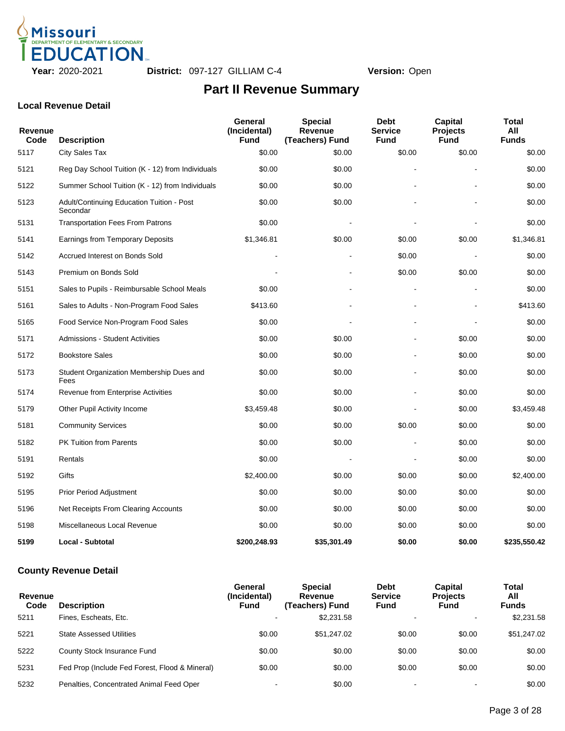

#### **Local Revenue Detail**

| Revenue<br>Code | <b>Description</b>                                           | General<br>(Incidental)<br><b>Fund</b> | <b>Special</b><br>Revenue<br>(Teachers) Fund | <b>Debt</b><br><b>Service</b><br><b>Fund</b> | <b>Capital</b><br><b>Projects</b><br><b>Fund</b> | <b>Total</b><br>All<br><b>Funds</b> |
|-----------------|--------------------------------------------------------------|----------------------------------------|----------------------------------------------|----------------------------------------------|--------------------------------------------------|-------------------------------------|
| 5117            | City Sales Tax                                               | \$0.00                                 | \$0.00                                       | \$0.00                                       | \$0.00                                           | \$0.00                              |
| 5121            | Reg Day School Tuition (K - 12) from Individuals             | \$0.00                                 | \$0.00                                       |                                              |                                                  | \$0.00                              |
| 5122            | Summer School Tuition (K - 12) from Individuals              | \$0.00                                 | \$0.00                                       |                                              |                                                  | \$0.00                              |
| 5123            | <b>Adult/Continuing Education Tuition - Post</b><br>Secondar | \$0.00                                 | \$0.00                                       |                                              |                                                  | \$0.00                              |
| 5131            | <b>Transportation Fees From Patrons</b>                      | \$0.00                                 |                                              |                                              |                                                  | \$0.00                              |
| 5141            | <b>Earnings from Temporary Deposits</b>                      | \$1,346.81                             | \$0.00                                       | \$0.00                                       | \$0.00                                           | \$1,346.81                          |
| 5142            | Accrued Interest on Bonds Sold                               |                                        |                                              | \$0.00                                       |                                                  | \$0.00                              |
| 5143            | Premium on Bonds Sold                                        |                                        |                                              | \$0.00                                       | \$0.00                                           | \$0.00                              |
| 5151            | Sales to Pupils - Reimbursable School Meals                  | \$0.00                                 |                                              |                                              |                                                  | \$0.00                              |
| 5161            | Sales to Adults - Non-Program Food Sales                     | \$413.60                               |                                              |                                              |                                                  | \$413.60                            |
| 5165            | Food Service Non-Program Food Sales                          | \$0.00                                 |                                              |                                              |                                                  | \$0.00                              |
| 5171            | <b>Admissions - Student Activities</b>                       | \$0.00                                 | \$0.00                                       |                                              | \$0.00                                           | \$0.00                              |
| 5172            | <b>Bookstore Sales</b>                                       | \$0.00                                 | \$0.00                                       |                                              | \$0.00                                           | \$0.00                              |
| 5173            | Student Organization Membership Dues and<br>Fees             | \$0.00                                 | \$0.00                                       |                                              | \$0.00                                           | \$0.00                              |
| 5174            | Revenue from Enterprise Activities                           | \$0.00                                 | \$0.00                                       |                                              | \$0.00                                           | \$0.00                              |
| 5179            | Other Pupil Activity Income                                  | \$3,459.48                             | \$0.00                                       |                                              | \$0.00                                           | \$3,459.48                          |
| 5181            | <b>Community Services</b>                                    | \$0.00                                 | \$0.00                                       | \$0.00                                       | \$0.00                                           | \$0.00                              |
| 5182            | <b>PK Tuition from Parents</b>                               | \$0.00                                 | \$0.00                                       |                                              | \$0.00                                           | \$0.00                              |
| 5191            | Rentals                                                      | \$0.00                                 | $\blacksquare$                               |                                              | \$0.00                                           | \$0.00                              |
| 5192            | Gifts                                                        | \$2,400.00                             | \$0.00                                       | \$0.00                                       | \$0.00                                           | \$2,400.00                          |
| 5195            | <b>Prior Period Adjustment</b>                               | \$0.00                                 | \$0.00                                       | \$0.00                                       | \$0.00                                           | \$0.00                              |
| 5196            | Net Receipts From Clearing Accounts                          | \$0.00                                 | \$0.00                                       | \$0.00                                       | \$0.00                                           | \$0.00                              |
| 5198            | Miscellaneous Local Revenue                                  | \$0.00                                 | \$0.00                                       | \$0.00                                       | \$0.00                                           | \$0.00                              |
| 5199            | <b>Local - Subtotal</b>                                      | \$200,248.93                           | \$35,301.49                                  | \$0.00                                       | \$0.00                                           | \$235,550.42                        |

### **County Revenue Detail**

| Revenue<br>Code | <b>Description</b>                             | General<br>(Incidental)<br><b>Fund</b> | <b>Special</b><br>Revenue<br>(Teachers) Fund | <b>Debt</b><br><b>Service</b><br>Fund | <b>Capital</b><br><b>Projects</b><br>Fund | Total<br>All<br><b>Funds</b> |
|-----------------|------------------------------------------------|----------------------------------------|----------------------------------------------|---------------------------------------|-------------------------------------------|------------------------------|
| 5211            | Fines. Escheats. Etc.                          | $\overline{\phantom{a}}$               | \$2,231.58                                   |                                       |                                           | \$2.231.58                   |
| 5221            | <b>State Assessed Utilities</b>                | \$0.00                                 | \$51,247.02                                  | \$0.00                                | \$0.00                                    | \$51,247.02                  |
| 5222            | County Stock Insurance Fund                    | \$0.00                                 | \$0.00                                       | \$0.00                                | \$0.00                                    | \$0.00                       |
| 5231            | Fed Prop (Include Fed Forest, Flood & Mineral) | \$0.00                                 | \$0.00                                       | \$0.00                                | \$0.00                                    | \$0.00                       |
| 5232            | Penalties, Concentrated Animal Feed Oper       | $\,$                                   | \$0.00                                       |                                       |                                           | \$0.00                       |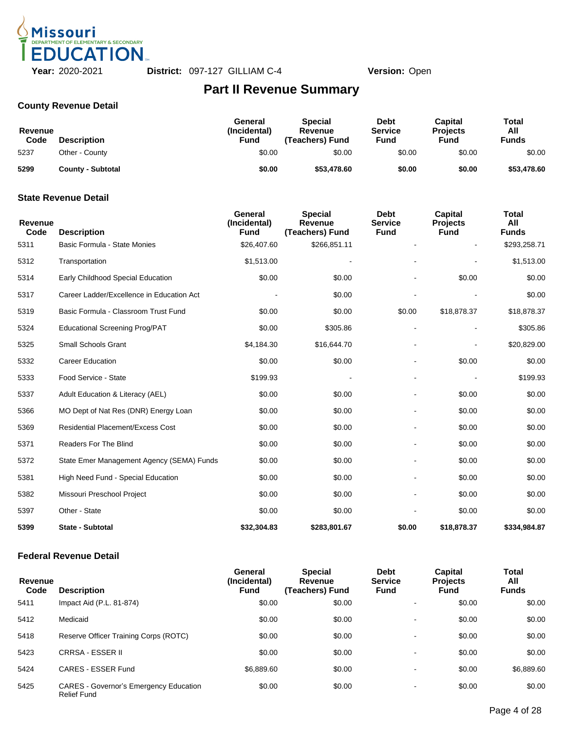

### **County Revenue Detail**

| Revenue<br>Code | <b>Description</b>       | General<br>(Incidental)<br>Fund | <b>Special</b><br>Revenue<br>(Teachers) Fund | <b>Debt</b><br><b>Service</b><br>Fund | <b>Capital</b><br><b>Projects</b><br>Fund | Total<br>All<br><b>Funds</b> |
|-----------------|--------------------------|---------------------------------|----------------------------------------------|---------------------------------------|-------------------------------------------|------------------------------|
| 5237            | Other - County           | \$0.00                          | \$0.00                                       | \$0.00                                | \$0.00                                    | \$0.00                       |
| 5299            | <b>County - Subtotal</b> | \$0.00                          | \$53,478.60                                  | \$0.00                                | \$0.00                                    | \$53,478.60                  |

#### **State Revenue Detail**

| Revenue<br>Code | <b>Description</b>                        | General<br>(Incidental)<br><b>Fund</b> | <b>Special</b><br>Revenue<br>(Teachers) Fund | <b>Debt</b><br><b>Service</b><br><b>Fund</b> | <b>Capital</b><br><b>Projects</b><br><b>Fund</b> | <b>Total</b><br>All<br><b>Funds</b> |
|-----------------|-------------------------------------------|----------------------------------------|----------------------------------------------|----------------------------------------------|--------------------------------------------------|-------------------------------------|
| 5311            | Basic Formula - State Monies              | \$26,407.60                            | \$266,851.11                                 |                                              |                                                  | \$293,258.71                        |
| 5312            | Transportation                            | \$1,513.00                             |                                              |                                              |                                                  | \$1,513.00                          |
| 5314            | Early Childhood Special Education         | \$0.00                                 | \$0.00                                       |                                              | \$0.00                                           | \$0.00                              |
| 5317            | Career Ladder/Excellence in Education Act |                                        | \$0.00                                       |                                              |                                                  | \$0.00                              |
| 5319            | Basic Formula - Classroom Trust Fund      | \$0.00                                 | \$0.00                                       | \$0.00                                       | \$18,878.37                                      | \$18,878.37                         |
| 5324            | <b>Educational Screening Prog/PAT</b>     | \$0.00                                 | \$305.86                                     | $\overline{\phantom{a}}$                     |                                                  | \$305.86                            |
| 5325            | <b>Small Schools Grant</b>                | \$4,184.30                             | \$16,644.70                                  |                                              |                                                  | \$20,829.00                         |
| 5332            | <b>Career Education</b>                   | \$0.00                                 | \$0.00                                       |                                              | \$0.00                                           | \$0.00                              |
| 5333            | Food Service - State                      | \$199.93                               |                                              | $\blacksquare$                               |                                                  | \$199.93                            |
| 5337            | Adult Education & Literacy (AEL)          | \$0.00                                 | \$0.00                                       |                                              | \$0.00                                           | \$0.00                              |
| 5366            | MO Dept of Nat Res (DNR) Energy Loan      | \$0.00                                 | \$0.00                                       |                                              | \$0.00                                           | \$0.00                              |
| 5369            | <b>Residential Placement/Excess Cost</b>  | \$0.00                                 | \$0.00                                       | $\blacksquare$                               | \$0.00                                           | \$0.00                              |
| 5371            | <b>Readers For The Blind</b>              | \$0.00                                 | \$0.00                                       | $\overline{\phantom{a}}$                     | \$0.00                                           | \$0.00                              |
| 5372            | State Emer Management Agency (SEMA) Funds | \$0.00                                 | \$0.00                                       |                                              | \$0.00                                           | \$0.00                              |
| 5381            | High Need Fund - Special Education        | \$0.00                                 | \$0.00                                       |                                              | \$0.00                                           | \$0.00                              |
| 5382            | Missouri Preschool Project                | \$0.00                                 | \$0.00                                       | $\overline{a}$                               | \$0.00                                           | \$0.00                              |
| 5397            | Other - State                             | \$0.00                                 | \$0.00                                       |                                              | \$0.00                                           | \$0.00                              |
| 5399            | <b>State - Subtotal</b>                   | \$32,304.83                            | \$283,801.67                                 | \$0.00                                       | \$18,878.37                                      | \$334,984.87                        |

#### **Federal Revenue Detail**

| Revenue<br>Code | <b>Description</b>                                                  | General<br>(Incidental)<br><b>Fund</b> | <b>Special</b><br>Revenue<br>(Teachers) Fund | <b>Debt</b><br><b>Service</b><br>Fund | <b>Capital</b><br><b>Projects</b><br>Fund | Total<br>All<br><b>Funds</b> |
|-----------------|---------------------------------------------------------------------|----------------------------------------|----------------------------------------------|---------------------------------------|-------------------------------------------|------------------------------|
| 5411            | Impact Aid (P.L. 81-874)                                            | \$0.00                                 | \$0.00                                       | $\blacksquare$                        | \$0.00                                    | \$0.00                       |
| 5412            | Medicaid                                                            | \$0.00                                 | \$0.00                                       | $\overline{\phantom{0}}$              | \$0.00                                    | \$0.00                       |
| 5418            | Reserve Officer Training Corps (ROTC)                               | \$0.00                                 | \$0.00                                       | $\blacksquare$                        | \$0.00                                    | \$0.00                       |
| 5423            | <b>CRRSA - ESSER II</b>                                             | \$0.00                                 | \$0.00                                       | $\blacksquare$                        | \$0.00                                    | \$0.00                       |
| 5424            | CARES - ESSER Fund                                                  | \$6,889.60                             | \$0.00                                       | $\blacksquare$                        | \$0.00                                    | \$6,889.60                   |
| 5425            | <b>CARES - Governor's Emergency Education</b><br><b>Relief Fund</b> | \$0.00                                 | \$0.00                                       | $\blacksquare$                        | \$0.00                                    | \$0.00                       |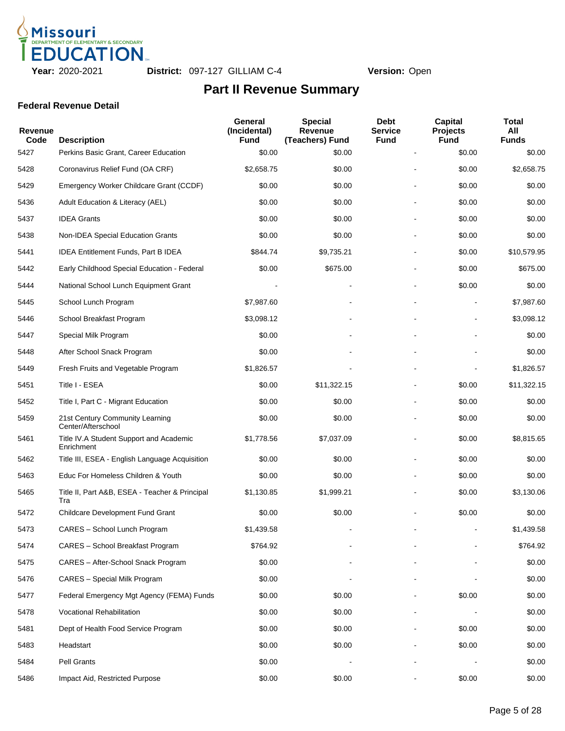

#### **Federal Revenue Detail**

| <b>Revenue</b><br>Code | <b>Description</b>                                    | General<br>(Incidental)<br><b>Fund</b> | <b>Special</b><br>Revenue<br>(Teachers) Fund | <b>Debt</b><br><b>Service</b><br><b>Fund</b> | <b>Capital</b><br><b>Projects</b><br><b>Fund</b> | <b>Total</b><br>All<br><b>Funds</b> |
|------------------------|-------------------------------------------------------|----------------------------------------|----------------------------------------------|----------------------------------------------|--------------------------------------------------|-------------------------------------|
| 5427                   | Perkins Basic Grant, Career Education                 | \$0.00                                 | \$0.00                                       |                                              | \$0.00                                           | \$0.00                              |
| 5428                   | Coronavirus Relief Fund (OA CRF)                      | \$2,658.75                             | \$0.00                                       |                                              | \$0.00                                           | \$2,658.75                          |
| 5429                   | Emergency Worker Childcare Grant (CCDF)               | \$0.00                                 | \$0.00                                       |                                              | \$0.00                                           | \$0.00                              |
| 5436                   | Adult Education & Literacy (AEL)                      | \$0.00                                 | \$0.00                                       |                                              | \$0.00                                           | \$0.00                              |
| 5437                   | <b>IDEA Grants</b>                                    | \$0.00                                 | \$0.00                                       |                                              | \$0.00                                           | \$0.00                              |
| 5438                   | Non-IDEA Special Education Grants                     | \$0.00                                 | \$0.00                                       |                                              | \$0.00                                           | \$0.00                              |
| 5441                   | IDEA Entitlement Funds, Part B IDEA                   | \$844.74                               | \$9,735.21                                   |                                              | \$0.00                                           | \$10,579.95                         |
| 5442                   | Early Childhood Special Education - Federal           | \$0.00                                 | \$675.00                                     |                                              | \$0.00                                           | \$675.00                            |
| 5444                   | National School Lunch Equipment Grant                 |                                        |                                              |                                              | \$0.00                                           | \$0.00                              |
| 5445                   | School Lunch Program                                  | \$7,987.60                             |                                              |                                              |                                                  | \$7,987.60                          |
| 5446                   | School Breakfast Program                              | \$3,098.12                             |                                              |                                              |                                                  | \$3,098.12                          |
| 5447                   | Special Milk Program                                  | \$0.00                                 |                                              |                                              |                                                  | \$0.00                              |
| 5448                   | After School Snack Program                            | \$0.00                                 |                                              |                                              |                                                  | \$0.00                              |
| 5449                   | Fresh Fruits and Vegetable Program                    | \$1,826.57                             |                                              |                                              |                                                  | \$1,826.57                          |
| 5451                   | Title I - ESEA                                        | \$0.00                                 | \$11,322.15                                  |                                              | \$0.00                                           | \$11,322.15                         |
| 5452                   | Title I, Part C - Migrant Education                   | \$0.00                                 | \$0.00                                       |                                              | \$0.00                                           | \$0.00                              |
| 5459                   | 21st Century Community Learning<br>Center/Afterschool | \$0.00                                 | \$0.00                                       |                                              | \$0.00                                           | \$0.00                              |
| 5461                   | Title IV.A Student Support and Academic<br>Enrichment | \$1,778.56                             | \$7,037.09                                   |                                              | \$0.00                                           | \$8,815.65                          |
| 5462                   | Title III, ESEA - English Language Acquisition        | \$0.00                                 | \$0.00                                       |                                              | \$0.00                                           | \$0.00                              |
| 5463                   | Educ For Homeless Children & Youth                    | \$0.00                                 | \$0.00                                       |                                              | \$0.00                                           | \$0.00                              |
| 5465                   | Title II, Part A&B, ESEA - Teacher & Principal<br>Tra | \$1,130.85                             | \$1,999.21                                   |                                              | \$0.00                                           | \$3,130.06                          |
| 5472                   | <b>Childcare Development Fund Grant</b>               | \$0.00                                 | \$0.00                                       |                                              | \$0.00                                           | \$0.00                              |
| 5473                   | CARES - School Lunch Program                          | \$1,439.58                             |                                              |                                              |                                                  | \$1,439.58                          |
| 5474                   | CARES - School Breakfast Program                      | \$764.92                               |                                              |                                              |                                                  | \$764.92                            |
| 5475                   | CARES - After-School Snack Program                    | \$0.00                                 |                                              |                                              |                                                  | \$0.00                              |
| 5476                   | CARES - Special Milk Program                          | \$0.00                                 |                                              |                                              |                                                  | \$0.00                              |
| 5477                   | Federal Emergency Mgt Agency (FEMA) Funds             | \$0.00                                 | \$0.00                                       |                                              | \$0.00                                           | \$0.00                              |
| 5478                   | Vocational Rehabilitation                             | \$0.00                                 | \$0.00                                       |                                              |                                                  | \$0.00                              |
| 5481                   | Dept of Health Food Service Program                   | \$0.00                                 | \$0.00                                       |                                              | \$0.00                                           | \$0.00                              |
| 5483                   | Headstart                                             | \$0.00                                 | \$0.00                                       |                                              | \$0.00                                           | \$0.00                              |
| 5484                   | Pell Grants                                           | \$0.00                                 |                                              |                                              |                                                  | \$0.00                              |
| 5486                   | Impact Aid, Restricted Purpose                        | \$0.00                                 | \$0.00                                       |                                              | \$0.00                                           | \$0.00                              |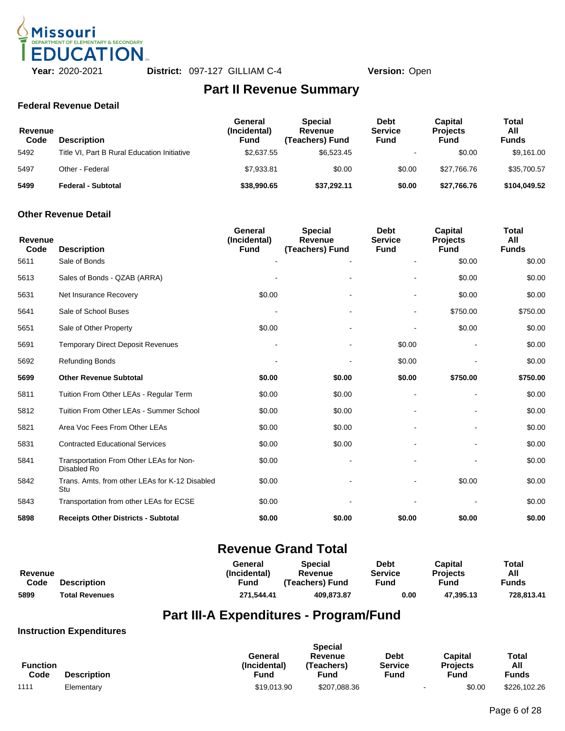

#### **Federal Revenue Detail**

| Revenue<br>Code | <b>Description</b>                          | General<br>(Incidental)<br>Fund | <b>Special</b><br>Revenue<br>(Teachers) Fund | Debt<br><b>Service</b><br>Fund | Capital<br><b>Projects</b><br>Fund | Total<br>All<br><b>Funds</b> |
|-----------------|---------------------------------------------|---------------------------------|----------------------------------------------|--------------------------------|------------------------------------|------------------------------|
| 5492            | Title VI, Part B Rural Education Initiative | \$2,637.55                      | \$6.523.45                                   |                                | \$0.00                             | \$9.161.00                   |
| 5497            | Other - Federal                             | \$7,933.81                      | \$0.00                                       | \$0.00                         | \$27.766.76                        | \$35,700.57                  |
| 5499            | Federal - Subtotal                          | \$38,990.65                     | \$37,292.11                                  | \$0.00                         | \$27,766.76                        | \$104.049.52                 |

#### **Other Revenue Detail**

| <b>Revenue</b><br>Code | <b>Description</b>                                     | <b>General</b><br>(Incidental)<br><b>Fund</b> | <b>Special</b><br><b>Revenue</b><br>(Teachers) Fund | <b>Debt</b><br><b>Service</b><br><b>Fund</b> | Capital<br><b>Projects</b><br><b>Fund</b> | Total<br>All<br><b>Funds</b> |
|------------------------|--------------------------------------------------------|-----------------------------------------------|-----------------------------------------------------|----------------------------------------------|-------------------------------------------|------------------------------|
| 5611                   | Sale of Bonds                                          |                                               |                                                     |                                              | \$0.00                                    | \$0.00                       |
| 5613                   | Sales of Bonds - QZAB (ARRA)                           |                                               |                                                     |                                              | \$0.00                                    | \$0.00                       |
| 5631                   | Net Insurance Recovery                                 | \$0.00                                        |                                                     | $\qquad \qquad \blacksquare$                 | \$0.00                                    | \$0.00                       |
| 5641                   | Sale of School Buses                                   |                                               |                                                     | $\blacksquare$                               | \$750.00                                  | \$750.00                     |
| 5651                   | Sale of Other Property                                 | \$0.00                                        |                                                     |                                              | \$0.00                                    | \$0.00                       |
| 5691                   | <b>Temporary Direct Deposit Revenues</b>               |                                               |                                                     | \$0.00                                       |                                           | \$0.00                       |
| 5692                   | <b>Refunding Bonds</b>                                 |                                               |                                                     | \$0.00                                       |                                           | \$0.00                       |
| 5699                   | <b>Other Revenue Subtotal</b>                          | \$0.00                                        | \$0.00                                              | \$0.00                                       | \$750.00                                  | \$750.00                     |
| 5811                   | Tuition From Other LEAs - Regular Term                 | \$0.00                                        | \$0.00                                              |                                              |                                           | \$0.00                       |
| 5812                   | Tuition From Other LEAs - Summer School                | \$0.00                                        | \$0.00                                              |                                              |                                           | \$0.00                       |
| 5821                   | Area Voc Fees From Other LEAs                          | \$0.00                                        | \$0.00                                              |                                              |                                           | \$0.00                       |
| 5831                   | <b>Contracted Educational Services</b>                 | \$0.00                                        | \$0.00                                              |                                              |                                           | \$0.00                       |
| 5841                   | Transportation From Other LEAs for Non-<br>Disabled Ro | \$0.00                                        |                                                     |                                              |                                           | \$0.00                       |
| 5842                   | Trans. Amts. from other LEAs for K-12 Disabled<br>Stu  | \$0.00                                        |                                                     |                                              | \$0.00                                    | \$0.00                       |
| 5843                   | Transportation from other LEAs for ECSE                | \$0.00                                        |                                                     |                                              |                                           | \$0.00                       |
| 5898                   | <b>Receipts Other Districts - Subtotal</b>             | \$0.00                                        | \$0.00                                              | \$0.00                                       | \$0.00                                    | \$0.00                       |

### **Revenue Grand Total**

|                |                       | General      | Special         | Debt           | Capital         | Total      |
|----------------|-----------------------|--------------|-----------------|----------------|-----------------|------------|
| <b>Revenue</b> |                       | (Incidental) | Revenue         | <b>Service</b> | <b>Projects</b> | All        |
| Code           | <b>Description</b>    | Fund         | (Teachers) Fund | Fund           | Fund            | Funds      |
| 5899           | <b>Total Revenues</b> | 271.544.41   | 409.873.87      | 0.00           | 47.395.13       | 728.813.41 |

## **Part III-A Expenditures - Program/Fund**

### **Instruction Expenditures**

|                 |                    |                         | <b>Special</b>        |                               |                            |                     |
|-----------------|--------------------|-------------------------|-----------------------|-------------------------------|----------------------------|---------------------|
| <b>Function</b> |                    | General<br>(Incidental) | Revenue<br>'Teachers) | <b>Debt</b><br><b>Service</b> | Capital<br><b>Projects</b> | <b>Total</b><br>All |
| Code            | <b>Description</b> | Fund                    | Fund                  | Fund                          | Fund                       | <b>Funds</b>        |
| 1111            | Elementary         | \$19.013.90             | \$207,088.36          |                               | \$0.00<br>$\blacksquare$   | \$226,102.26        |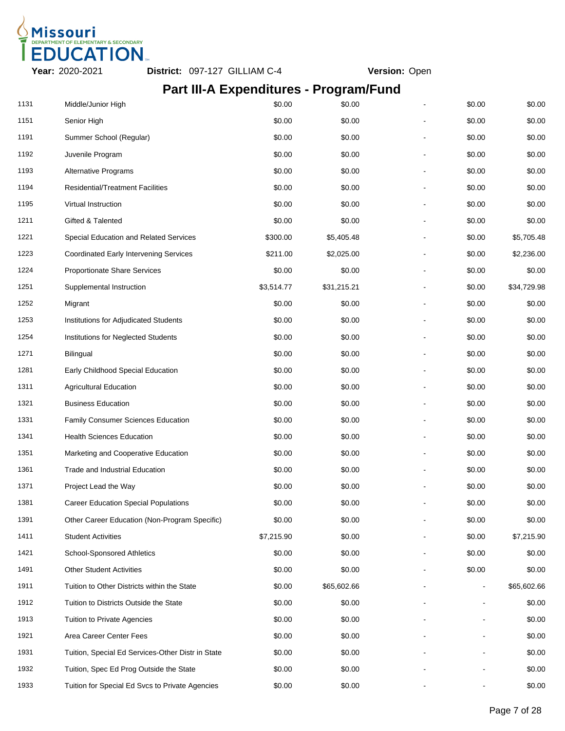

# **Part III-A Expenditures - Program/Fund**

| 1131 | Middle/Junior High                                | \$0.00     | \$0.00      | \$0.00 | \$0.00      |
|------|---------------------------------------------------|------------|-------------|--------|-------------|
| 1151 | Senior High                                       | \$0.00     | \$0.00      | \$0.00 | \$0.00      |
| 1191 | Summer School (Regular)                           | \$0.00     | \$0.00      | \$0.00 | \$0.00      |
| 1192 | Juvenile Program                                  | \$0.00     | \$0.00      | \$0.00 | \$0.00      |
| 1193 | <b>Alternative Programs</b>                       | \$0.00     | \$0.00      | \$0.00 | \$0.00      |
| 1194 | <b>Residential/Treatment Facilities</b>           | \$0.00     | \$0.00      | \$0.00 | \$0.00      |
| 1195 | Virtual Instruction                               | \$0.00     | \$0.00      | \$0.00 | \$0.00      |
| 1211 | Gifted & Talented                                 | \$0.00     | \$0.00      | \$0.00 | \$0.00      |
| 1221 | Special Education and Related Services            | \$300.00   | \$5,405.48  | \$0.00 | \$5,705.48  |
| 1223 | <b>Coordinated Early Intervening Services</b>     | \$211.00   | \$2,025.00  | \$0.00 | \$2,236.00  |
| 1224 | Proportionate Share Services                      | \$0.00     | \$0.00      | \$0.00 | \$0.00      |
| 1251 | Supplemental Instruction                          | \$3,514.77 | \$31,215.21 | \$0.00 | \$34,729.98 |
| 1252 | Migrant                                           | \$0.00     | \$0.00      | \$0.00 | \$0.00      |
| 1253 | Institutions for Adjudicated Students             | \$0.00     | \$0.00      | \$0.00 | \$0.00      |
| 1254 | Institutions for Neglected Students               | \$0.00     | \$0.00      | \$0.00 | \$0.00      |
| 1271 | <b>Bilingual</b>                                  | \$0.00     | \$0.00      | \$0.00 | \$0.00      |
| 1281 | Early Childhood Special Education                 | \$0.00     | \$0.00      | \$0.00 | \$0.00      |
| 1311 | <b>Agricultural Education</b>                     | \$0.00     | \$0.00      | \$0.00 | \$0.00      |
| 1321 | <b>Business Education</b>                         | \$0.00     | \$0.00      | \$0.00 | \$0.00      |
| 1331 | Family Consumer Sciences Education                | \$0.00     | \$0.00      | \$0.00 | \$0.00      |
| 1341 | <b>Health Sciences Education</b>                  | \$0.00     | \$0.00      | \$0.00 | \$0.00      |
| 1351 | Marketing and Cooperative Education               | \$0.00     | \$0.00      | \$0.00 | \$0.00      |
| 1361 | <b>Trade and Industrial Education</b>             | \$0.00     | \$0.00      | \$0.00 | \$0.00      |
| 1371 | Project Lead the Way                              | \$0.00     | \$0.00      | \$0.00 | \$0.00      |
| 1381 | <b>Career Education Special Populations</b>       | \$0.00     | \$0.00      | \$0.00 | \$0.00      |
| 1391 | Other Career Education (Non-Program Specific)     | \$0.00     | \$0.00      | \$0.00 | \$0.00      |
| 1411 | <b>Student Activities</b>                         | \$7,215.90 | \$0.00      | \$0.00 | \$7,215.90  |
| 1421 | School-Sponsored Athletics                        | \$0.00     | \$0.00      | \$0.00 | \$0.00      |
| 1491 | <b>Other Student Activities</b>                   | \$0.00     | \$0.00      | \$0.00 | \$0.00      |
| 1911 | Tuition to Other Districts within the State       | \$0.00     | \$65,602.66 |        | \$65,602.66 |
| 1912 | Tuition to Districts Outside the State            | \$0.00     | \$0.00      |        | \$0.00      |
| 1913 | <b>Tuition to Private Agencies</b>                | \$0.00     | \$0.00      |        | \$0.00      |
| 1921 | Area Career Center Fees                           | \$0.00     | \$0.00      |        | \$0.00      |
| 1931 | Tuition, Special Ed Services-Other Distr in State | \$0.00     | \$0.00      |        | \$0.00      |
| 1932 | Tuition, Spec Ed Prog Outside the State           | \$0.00     | \$0.00      |        | \$0.00      |
| 1933 | Tuition for Special Ed Svcs to Private Agencies   | \$0.00     | \$0.00      |        | \$0.00      |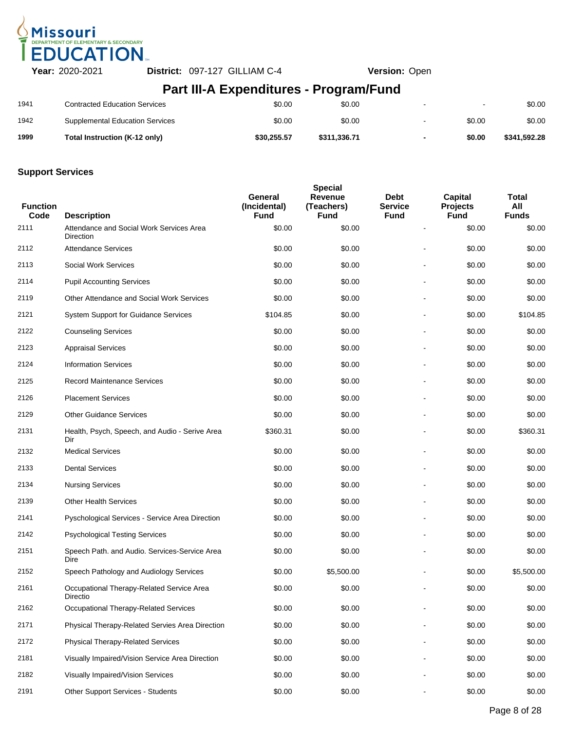

# **Part III-A Expenditures - Program/Fund**

| 1999 | Total Instruction (K-12 only)          | \$30.255.57 | \$311.336.71 | $\overline{\phantom{0}}$ | \$0.00 | \$341.592.28 |
|------|----------------------------------------|-------------|--------------|--------------------------|--------|--------------|
| 1942 | <b>Supplemental Education Services</b> | \$0.00      | \$0.00       | $\overline{\phantom{a}}$ | \$0.00 | \$0.00       |
| 1941 | <b>Contracted Education Services</b>   | \$0.00      | \$0.00       | $\overline{\phantom{0}}$ |        | \$0.00       |

| <b>Function</b><br>Code | <b>Description</b>                                    | General<br>(Incidental)<br>Fund | <b>Special</b><br>Revenue<br>(Teachers)<br><b>Fund</b> | <b>Debt</b><br><b>Service</b><br><b>Fund</b> | <b>Capital</b><br><b>Projects</b><br><b>Fund</b> | Total<br>All<br><b>Funds</b> |
|-------------------------|-------------------------------------------------------|---------------------------------|--------------------------------------------------------|----------------------------------------------|--------------------------------------------------|------------------------------|
| 2111                    | Attendance and Social Work Services Area<br>Direction | \$0.00                          | \$0.00                                                 |                                              | \$0.00                                           | \$0.00                       |
| 2112                    | <b>Attendance Services</b>                            | \$0.00                          | \$0.00                                                 |                                              | \$0.00                                           | \$0.00                       |
| 2113                    | <b>Social Work Services</b>                           | \$0.00                          | \$0.00                                                 |                                              | \$0.00                                           | \$0.00                       |
| 2114                    | <b>Pupil Accounting Services</b>                      | \$0.00                          | \$0.00                                                 |                                              | \$0.00                                           | \$0.00                       |
| 2119                    | Other Attendance and Social Work Services             | \$0.00                          | \$0.00                                                 |                                              | \$0.00                                           | \$0.00                       |
| 2121                    | System Support for Guidance Services                  | \$104.85                        | \$0.00                                                 |                                              | \$0.00                                           | \$104.85                     |
| 2122                    | <b>Counseling Services</b>                            | \$0.00                          | \$0.00                                                 |                                              | \$0.00                                           | \$0.00                       |
| 2123                    | <b>Appraisal Services</b>                             | \$0.00                          | \$0.00                                                 |                                              | \$0.00                                           | \$0.00                       |
| 2124                    | <b>Information Services</b>                           | \$0.00                          | \$0.00                                                 |                                              | \$0.00                                           | \$0.00                       |
| 2125                    | <b>Record Maintenance Services</b>                    | \$0.00                          | \$0.00                                                 |                                              | \$0.00                                           | \$0.00                       |
| 2126                    | <b>Placement Services</b>                             | \$0.00                          | \$0.00                                                 |                                              | \$0.00                                           | \$0.00                       |
| 2129                    | <b>Other Guidance Services</b>                        | \$0.00                          | \$0.00                                                 |                                              | \$0.00                                           | \$0.00                       |
| 2131                    | Health, Psych, Speech, and Audio - Serive Area<br>Dir | \$360.31                        | \$0.00                                                 |                                              | \$0.00                                           | \$360.31                     |
| 2132                    | <b>Medical Services</b>                               | \$0.00                          | \$0.00                                                 |                                              | \$0.00                                           | \$0.00                       |
| 2133                    | <b>Dental Services</b>                                | \$0.00                          | \$0.00                                                 |                                              | \$0.00                                           | \$0.00                       |
| 2134                    | <b>Nursing Services</b>                               | \$0.00                          | \$0.00                                                 |                                              | \$0.00                                           | \$0.00                       |
| 2139                    | <b>Other Health Services</b>                          | \$0.00                          | \$0.00                                                 |                                              | \$0.00                                           | \$0.00                       |
| 2141                    | Pyschological Services - Service Area Direction       | \$0.00                          | \$0.00                                                 |                                              | \$0.00                                           | \$0.00                       |
| 2142                    | <b>Psychological Testing Services</b>                 | \$0.00                          | \$0.00                                                 |                                              | \$0.00                                           | \$0.00                       |
| 2151                    | Speech Path. and Audio. Services-Service Area<br>Dire | \$0.00                          | \$0.00                                                 |                                              | \$0.00                                           | \$0.00                       |
| 2152                    | Speech Pathology and Audiology Services               | \$0.00                          | \$5,500.00                                             |                                              | \$0.00                                           | \$5,500.00                   |
| 2161                    | Occupational Therapy-Related Service Area<br>Directio | \$0.00                          | \$0.00                                                 |                                              | \$0.00                                           | \$0.00                       |
| 2162                    | Occupational Therapy-Related Services                 | \$0.00                          | \$0.00                                                 |                                              | \$0.00                                           | \$0.00                       |
| 2171                    | Physical Therapy-Related Servies Area Direction       | \$0.00                          | \$0.00                                                 |                                              | \$0.00                                           | \$0.00                       |
| 2172                    | Physical Therapy-Related Services                     | \$0.00                          | \$0.00                                                 |                                              | \$0.00                                           | \$0.00                       |
| 2181                    | Visually Impaired/Vision Service Area Direction       | \$0.00                          | \$0.00                                                 |                                              | \$0.00                                           | \$0.00                       |
| 2182                    | Visually Impaired/Vision Services                     | \$0.00                          | \$0.00                                                 |                                              | \$0.00                                           | \$0.00                       |
| 2191                    | Other Support Services - Students                     | \$0.00                          | \$0.00                                                 |                                              | \$0.00                                           | \$0.00                       |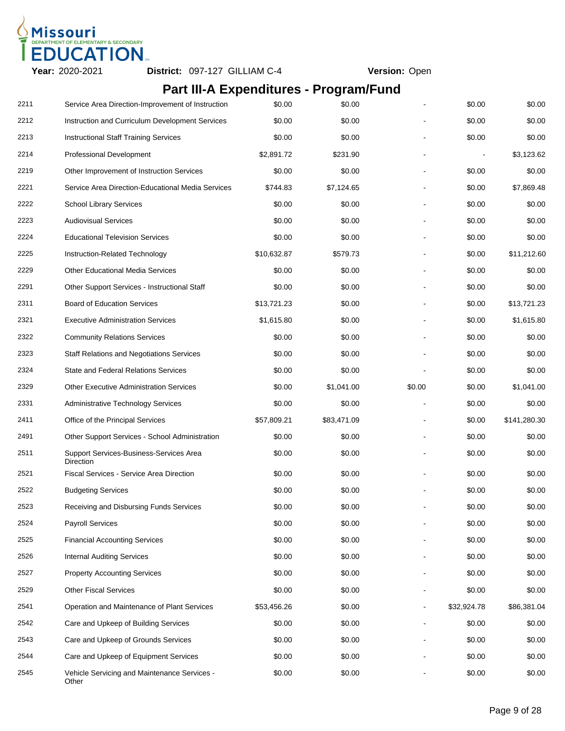

# **Part III-A Expenditures - Program/Fund**

| 2211 | Service Area Direction-Improvement of Instruction     | \$0.00      | \$0.00      |        | \$0.00      | \$0.00       |
|------|-------------------------------------------------------|-------------|-------------|--------|-------------|--------------|
| 2212 | Instruction and Curriculum Development Services       | \$0.00      | \$0.00      |        | \$0.00      | \$0.00       |
| 2213 | <b>Instructional Staff Training Services</b>          | \$0.00      | \$0.00      |        | \$0.00      | \$0.00       |
| 2214 | Professional Development                              | \$2,891.72  | \$231.90    |        |             | \$3,123.62   |
| 2219 | Other Improvement of Instruction Services             | \$0.00      | \$0.00      |        | \$0.00      | \$0.00       |
| 2221 | Service Area Direction-Educational Media Services     | \$744.83    | \$7,124.65  |        | \$0.00      | \$7,869.48   |
| 2222 | <b>School Library Services</b>                        | \$0.00      | \$0.00      |        | \$0.00      | \$0.00       |
| 2223 | <b>Audiovisual Services</b>                           | \$0.00      | \$0.00      |        | \$0.00      | \$0.00       |
| 2224 | <b>Educational Television Services</b>                | \$0.00      | \$0.00      |        | \$0.00      | \$0.00       |
| 2225 | Instruction-Related Technology                        | \$10,632.87 | \$579.73    |        | \$0.00      | \$11,212.60  |
| 2229 | <b>Other Educational Media Services</b>               | \$0.00      | \$0.00      |        | \$0.00      | \$0.00       |
| 2291 | Other Support Services - Instructional Staff          | \$0.00      | \$0.00      |        | \$0.00      | \$0.00       |
| 2311 | <b>Board of Education Services</b>                    | \$13,721.23 | \$0.00      |        | \$0.00      | \$13,721.23  |
| 2321 | <b>Executive Administration Services</b>              | \$1,615.80  | \$0.00      |        | \$0.00      | \$1,615.80   |
| 2322 | <b>Community Relations Services</b>                   | \$0.00      | \$0.00      |        | \$0.00      | \$0.00       |
| 2323 | <b>Staff Relations and Negotiations Services</b>      | \$0.00      | \$0.00      |        | \$0.00      | \$0.00       |
| 2324 | State and Federal Relations Services                  | \$0.00      | \$0.00      |        | \$0.00      | \$0.00       |
| 2329 | <b>Other Executive Administration Services</b>        | \$0.00      | \$1,041.00  | \$0.00 | \$0.00      | \$1,041.00   |
| 2331 | <b>Administrative Technology Services</b>             | \$0.00      | \$0.00      |        | \$0.00      | \$0.00       |
| 2411 | Office of the Principal Services                      | \$57,809.21 | \$83,471.09 |        | \$0.00      | \$141,280.30 |
| 2491 | Other Support Services - School Administration        | \$0.00      | \$0.00      |        | \$0.00      | \$0.00       |
| 2511 | Support Services-Business-Services Area<br>Direction  | \$0.00      | \$0.00      |        | \$0.00      | \$0.00       |
| 2521 | <b>Fiscal Services - Service Area Direction</b>       | \$0.00      | \$0.00      |        | \$0.00      | \$0.00       |
| 2522 | <b>Budgeting Services</b>                             | \$0.00      | \$0.00      |        | \$0.00      | \$0.00       |
| 2523 | Receiving and Disbursing Funds Services               | \$0.00      | \$0.00      |        | \$0.00      | \$0.00       |
| 2524 | <b>Payroll Services</b>                               | \$0.00      | \$0.00      |        | \$0.00      | \$0.00       |
| 2525 | <b>Financial Accounting Services</b>                  | \$0.00      | \$0.00      |        | \$0.00      | \$0.00       |
| 2526 | <b>Internal Auditing Services</b>                     | \$0.00      | \$0.00      |        | \$0.00      | \$0.00       |
| 2527 | <b>Property Accounting Services</b>                   | \$0.00      | \$0.00      |        | \$0.00      | \$0.00       |
| 2529 | <b>Other Fiscal Services</b>                          | \$0.00      | \$0.00      |        | \$0.00      | \$0.00       |
| 2541 | Operation and Maintenance of Plant Services           | \$53,456.26 | \$0.00      |        | \$32,924.78 | \$86,381.04  |
| 2542 | Care and Upkeep of Building Services                  | \$0.00      | \$0.00      |        | \$0.00      | \$0.00       |
| 2543 | Care and Upkeep of Grounds Services                   | \$0.00      | \$0.00      |        | \$0.00      | \$0.00       |
| 2544 | Care and Upkeep of Equipment Services                 | \$0.00      | \$0.00      |        | \$0.00      | \$0.00       |
| 2545 | Vehicle Servicing and Maintenance Services -<br>Other | \$0.00      | \$0.00      |        | \$0.00      | \$0.00       |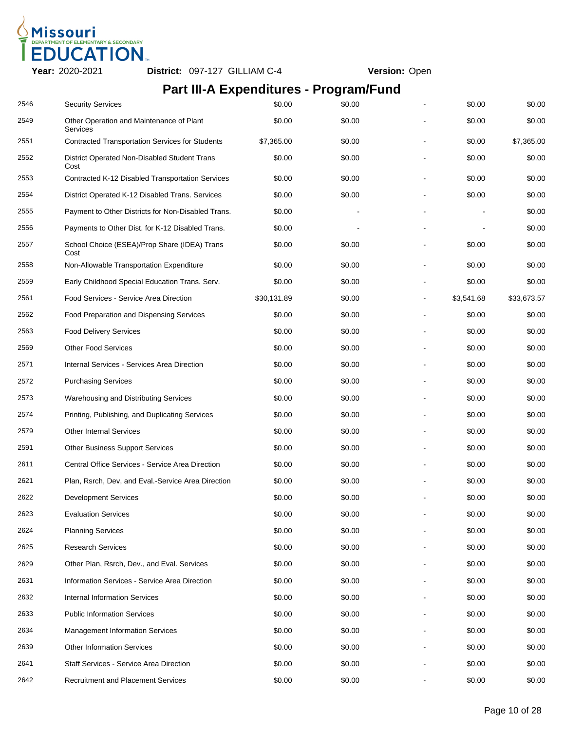

# **Part III-A Expenditures - Program/Fund**

| 2546 | <b>Security Services</b>                               | \$0.00      | \$0.00 |                | \$0.00     | \$0.00      |
|------|--------------------------------------------------------|-------------|--------|----------------|------------|-------------|
| 2549 | Other Operation and Maintenance of Plant<br>Services   | \$0.00      | \$0.00 |                | \$0.00     | \$0.00      |
| 2551 | <b>Contracted Transportation Services for Students</b> | \$7,365.00  | \$0.00 |                | \$0.00     | \$7,365.00  |
| 2552 | District Operated Non-Disabled Student Trans<br>Cost   | \$0.00      | \$0.00 |                | \$0.00     | \$0.00      |
| 2553 | Contracted K-12 Disabled Transportation Services       | \$0.00      | \$0.00 |                | \$0.00     | \$0.00      |
| 2554 | District Operated K-12 Disabled Trans. Services        | \$0.00      | \$0.00 |                | \$0.00     | \$0.00      |
| 2555 | Payment to Other Districts for Non-Disabled Trans.     | \$0.00      |        |                |            | \$0.00      |
| 2556 | Payments to Other Dist. for K-12 Disabled Trans.       | \$0.00      |        |                |            | \$0.00      |
| 2557 | School Choice (ESEA)/Prop Share (IDEA) Trans<br>Cost   | \$0.00      | \$0.00 |                | \$0.00     | \$0.00      |
| 2558 | Non-Allowable Transportation Expenditure               | \$0.00      | \$0.00 |                | \$0.00     | \$0.00      |
| 2559 | Early Childhood Special Education Trans. Serv.         | \$0.00      | \$0.00 |                | \$0.00     | \$0.00      |
| 2561 | Food Services - Service Area Direction                 | \$30,131.89 | \$0.00 | $\overline{a}$ | \$3,541.68 | \$33,673.57 |
| 2562 | Food Preparation and Dispensing Services               | \$0.00      | \$0.00 |                | \$0.00     | \$0.00      |
| 2563 | <b>Food Delivery Services</b>                          | \$0.00      | \$0.00 |                | \$0.00     | \$0.00      |
| 2569 | <b>Other Food Services</b>                             | \$0.00      | \$0.00 |                | \$0.00     | \$0.00      |
| 2571 | Internal Services - Services Area Direction            | \$0.00      | \$0.00 |                | \$0.00     | \$0.00      |
| 2572 | <b>Purchasing Services</b>                             | \$0.00      | \$0.00 |                | \$0.00     | \$0.00      |
| 2573 | Warehousing and Distributing Services                  | \$0.00      | \$0.00 |                | \$0.00     | \$0.00      |
| 2574 | Printing, Publishing, and Duplicating Services         | \$0.00      | \$0.00 |                | \$0.00     | \$0.00      |
| 2579 | <b>Other Internal Services</b>                         | \$0.00      | \$0.00 |                | \$0.00     | \$0.00      |
| 2591 | <b>Other Business Support Services</b>                 | \$0.00      | \$0.00 |                | \$0.00     | \$0.00      |
| 2611 | Central Office Services - Service Area Direction       | \$0.00      | \$0.00 |                | \$0.00     | \$0.00      |
| 2621 | Plan, Rsrch, Dev, and Eval.-Service Area Direction     | \$0.00      | \$0.00 |                | \$0.00     | \$0.00      |
| 2622 | <b>Development Services</b>                            | \$0.00      | \$0.00 |                | \$0.00     | \$0.00      |
| 2623 | <b>Evaluation Services</b>                             | \$0.00      | \$0.00 |                | \$0.00     | \$0.00      |
| 2624 | <b>Planning Services</b>                               | \$0.00      | \$0.00 |                | \$0.00     | \$0.00      |
| 2625 | <b>Research Services</b>                               | \$0.00      | \$0.00 |                | \$0.00     | \$0.00      |
| 2629 | Other Plan, Rsrch, Dev., and Eval. Services            | \$0.00      | \$0.00 |                | \$0.00     | \$0.00      |
| 2631 | Information Services - Service Area Direction          | \$0.00      | \$0.00 |                | \$0.00     | \$0.00      |
| 2632 | <b>Internal Information Services</b>                   | \$0.00      | \$0.00 |                | \$0.00     | \$0.00      |
| 2633 | <b>Public Information Services</b>                     | \$0.00      | \$0.00 |                | \$0.00     | \$0.00      |
| 2634 | <b>Management Information Services</b>                 | \$0.00      | \$0.00 |                | \$0.00     | \$0.00      |
| 2639 | <b>Other Information Services</b>                      | \$0.00      | \$0.00 |                | \$0.00     | \$0.00      |
| 2641 | <b>Staff Services - Service Area Direction</b>         | \$0.00      | \$0.00 |                | \$0.00     | \$0.00      |
| 2642 | <b>Recruitment and Placement Services</b>              | \$0.00      | \$0.00 |                | \$0.00     | \$0.00      |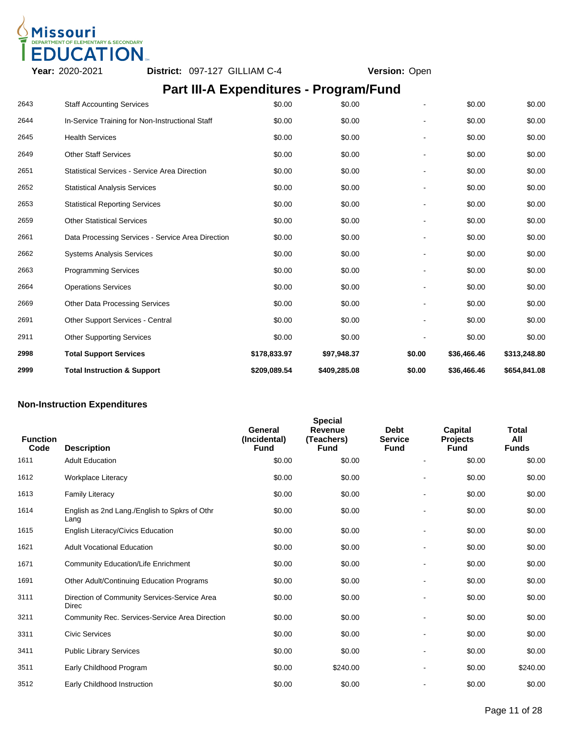

## **Part III-A Expenditures - Program/Fund**

| 2999 | <b>Total Instruction &amp; Support</b>               | \$209,089.54 | \$409,285.08 | \$0.00         | \$36,466.46 | \$654,841.08 |
|------|------------------------------------------------------|--------------|--------------|----------------|-------------|--------------|
| 2998 | <b>Total Support Services</b>                        | \$178,833.97 | \$97,948.37  | \$0.00         | \$36,466.46 | \$313,248.80 |
| 2911 | <b>Other Supporting Services</b>                     | \$0.00       | \$0.00       |                | \$0.00      | \$0.00       |
| 2691 | <b>Other Support Services - Central</b>              | \$0.00       | \$0.00       |                | \$0.00      | \$0.00       |
| 2669 | <b>Other Data Processing Services</b>                | \$0.00       | \$0.00       |                | \$0.00      | \$0.00       |
| 2664 | <b>Operations Services</b>                           | \$0.00       | \$0.00       | $\blacksquare$ | \$0.00      | \$0.00       |
| 2663 | <b>Programming Services</b>                          | \$0.00       | \$0.00       |                | \$0.00      | \$0.00       |
| 2662 | <b>Systems Analysis Services</b>                     | \$0.00       | \$0.00       |                | \$0.00      | \$0.00       |
| 2661 | Data Processing Services - Service Area Direction    | \$0.00       | \$0.00       |                | \$0.00      | \$0.00       |
| 2659 | <b>Other Statistical Services</b>                    | \$0.00       | \$0.00       |                | \$0.00      | \$0.00       |
| 2653 | <b>Statistical Reporting Services</b>                | \$0.00       | \$0.00       |                | \$0.00      | \$0.00       |
| 2652 | <b>Statistical Analysis Services</b>                 | \$0.00       | \$0.00       |                | \$0.00      | \$0.00       |
| 2651 | <b>Statistical Services - Service Area Direction</b> | \$0.00       | \$0.00       |                | \$0.00      | \$0.00       |
| 2649 | <b>Other Staff Services</b>                          | \$0.00       | \$0.00       |                | \$0.00      | \$0.00       |
| 2645 | <b>Health Services</b>                               | \$0.00       | \$0.00       |                | \$0.00      | \$0.00       |
| 2644 | In-Service Training for Non-Instructional Staff      | \$0.00       | \$0.00       |                | \$0.00      | \$0.00       |
| 2643 | <b>Staff Accounting Services</b>                     | \$0.00       | \$0.00       |                | \$0.00      | \$0.00       |

### **Non-Instruction Expenditures**

| <b>Function</b><br>Code | <b>Description</b>                                           | General<br>(Incidental)<br><b>Fund</b> | <b>Special</b><br><b>Revenue</b><br>(Teachers)<br><b>Fund</b> | <b>Debt</b><br><b>Service</b><br><b>Fund</b> | <b>Capital</b><br><b>Projects</b><br><b>Fund</b> | Total<br>All<br><b>Funds</b> |
|-------------------------|--------------------------------------------------------------|----------------------------------------|---------------------------------------------------------------|----------------------------------------------|--------------------------------------------------|------------------------------|
| 1611                    | <b>Adult Education</b>                                       | \$0.00                                 | \$0.00                                                        | $\blacksquare$                               | \$0.00                                           | \$0.00                       |
| 1612                    | <b>Workplace Literacy</b>                                    | \$0.00                                 | \$0.00                                                        | $\blacksquare$                               | \$0.00                                           | \$0.00                       |
| 1613                    | <b>Family Literacy</b>                                       | \$0.00                                 | \$0.00                                                        | $\blacksquare$                               | \$0.00                                           | \$0.00                       |
| 1614                    | English as 2nd Lang./English to Spkrs of Othr<br>Lang        | \$0.00                                 | \$0.00                                                        |                                              | \$0.00                                           | \$0.00                       |
| 1615                    | English Literacy/Civics Education                            | \$0.00                                 | \$0.00                                                        |                                              | \$0.00                                           | \$0.00                       |
| 1621                    | <b>Adult Vocational Education</b>                            | \$0.00                                 | \$0.00                                                        |                                              | \$0.00                                           | \$0.00                       |
| 1671                    | <b>Community Education/Life Enrichment</b>                   | \$0.00                                 | \$0.00                                                        |                                              | \$0.00                                           | \$0.00                       |
| 1691                    | Other Adult/Continuing Education Programs                    | \$0.00                                 | \$0.00                                                        | $\blacksquare$                               | \$0.00                                           | \$0.00                       |
| 3111                    | Direction of Community Services-Service Area<br><b>Direc</b> | \$0.00                                 | \$0.00                                                        |                                              | \$0.00                                           | \$0.00                       |
| 3211                    | Community Rec. Services-Service Area Direction               | \$0.00                                 | \$0.00                                                        | $\blacksquare$                               | \$0.00                                           | \$0.00                       |
| 3311                    | <b>Civic Services</b>                                        | \$0.00                                 | \$0.00                                                        |                                              | \$0.00                                           | \$0.00                       |
| 3411                    | <b>Public Library Services</b>                               | \$0.00                                 | \$0.00                                                        | $\blacksquare$                               | \$0.00                                           | \$0.00                       |
| 3511                    | Early Childhood Program                                      | \$0.00                                 | \$240.00                                                      |                                              | \$0.00                                           | \$240.00                     |
| 3512                    | Early Childhood Instruction                                  | \$0.00                                 | \$0.00                                                        |                                              | \$0.00                                           | \$0.00                       |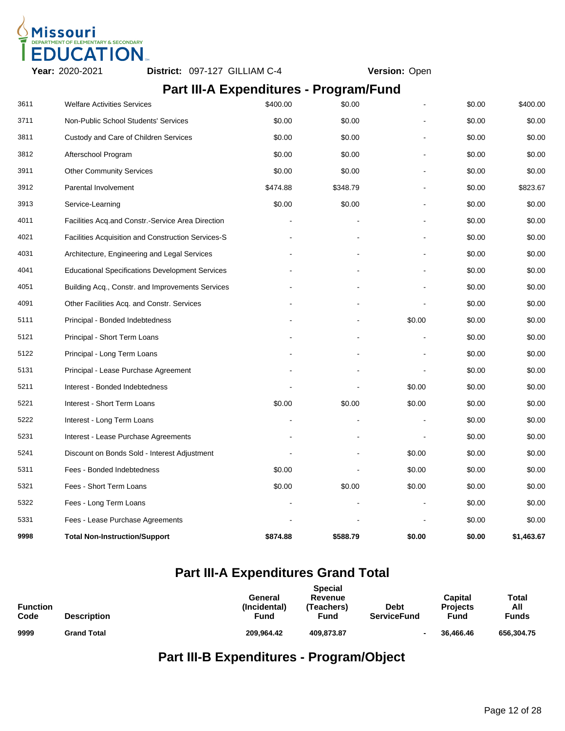

### **Part III-A Expenditures - Program/Fund**

| 9998 | <b>Total Non-Instruction/Support</b>                      | \$874.88 | \$588.79 | \$0.00 | \$0.00 | \$1,463.67 |
|------|-----------------------------------------------------------|----------|----------|--------|--------|------------|
| 5331 | Fees - Lease Purchase Agreements                          |          |          |        | \$0.00 | \$0.00     |
| 5322 | Fees - Long Term Loans                                    |          |          |        | \$0.00 | \$0.00     |
| 5321 | Fees - Short Term Loans                                   | \$0.00   | \$0.00   | \$0.00 | \$0.00 | \$0.00     |
| 5311 | Fees - Bonded Indebtedness                                | \$0.00   |          | \$0.00 | \$0.00 | \$0.00     |
| 5241 | Discount on Bonds Sold - Interest Adjustment              |          |          | \$0.00 | \$0.00 | \$0.00     |
| 5231 | Interest - Lease Purchase Agreements                      |          |          |        | \$0.00 | \$0.00     |
| 5222 | Interest - Long Term Loans                                |          |          |        | \$0.00 | \$0.00     |
| 5221 | Interest - Short Term Loans                               | \$0.00   | \$0.00   | \$0.00 | \$0.00 | \$0.00     |
| 5211 | Interest - Bonded Indebtedness                            |          |          | \$0.00 | \$0.00 | \$0.00     |
| 5131 | Principal - Lease Purchase Agreement                      |          |          |        | \$0.00 | \$0.00     |
| 5122 | Principal - Long Term Loans                               |          |          |        | \$0.00 | \$0.00     |
| 5121 | Principal - Short Term Loans                              |          |          |        | \$0.00 | \$0.00     |
| 5111 | Principal - Bonded Indebtedness                           |          |          | \$0.00 | \$0.00 | \$0.00     |
| 4091 | Other Facilities Acq. and Constr. Services                |          |          |        | \$0.00 | \$0.00     |
| 4051 | Building Acq., Constr. and Improvements Services          |          |          |        | \$0.00 | \$0.00     |
| 4041 | <b>Educational Specifications Development Services</b>    |          |          |        | \$0.00 | \$0.00     |
| 4031 | Architecture, Engineering and Legal Services              |          |          |        | \$0.00 | \$0.00     |
| 4021 | <b>Facilities Acquisition and Construction Services-S</b> |          |          |        | \$0.00 | \$0.00     |
| 4011 | Facilities Acq.and Constr.-Service Area Direction         |          |          |        | \$0.00 | \$0.00     |
| 3913 | Service-Learning                                          | \$0.00   | \$0.00   |        | \$0.00 | \$0.00     |
| 3912 | Parental Involvement                                      | \$474.88 | \$348.79 |        | \$0.00 | \$823.67   |
| 3911 | <b>Other Community Services</b>                           | \$0.00   | \$0.00   |        | \$0.00 | \$0.00     |
| 3812 | Afterschool Program                                       | \$0.00   | \$0.00   |        | \$0.00 | \$0.00     |
| 3811 | Custody and Care of Children Services                     | \$0.00   | \$0.00   |        | \$0.00 | \$0.00     |
| 3711 | Non-Public School Students' Services                      | \$0.00   | \$0.00   |        | \$0.00 | \$0.00     |
| 3611 | <b>Welfare Activities Services</b>                        | \$400.00 | \$0.00   |        | \$0.00 | \$400.00   |

## **Part III-A Expenditures Grand Total**

|                         |                    | <b>Special</b>                                                                                               |                                           |                              |
|-------------------------|--------------------|--------------------------------------------------------------------------------------------------------------|-------------------------------------------|------------------------------|
| <b>Function</b><br>Code | <b>Description</b> | Revenue<br>General<br>(Incidental)<br><b>Debt</b><br>(Teachers)<br><b>Fund</b><br><b>ServiceFund</b><br>Fund | <b>Capital</b><br><b>Projects</b><br>Fund | Total<br>All<br><b>Funds</b> |
| 9999                    | <b>Grand Total</b> | 209.964.42<br>409,873.87                                                                                     | 36,466,46                                 | 656.304.75                   |

# **Part III-B Expenditures - Program/Object**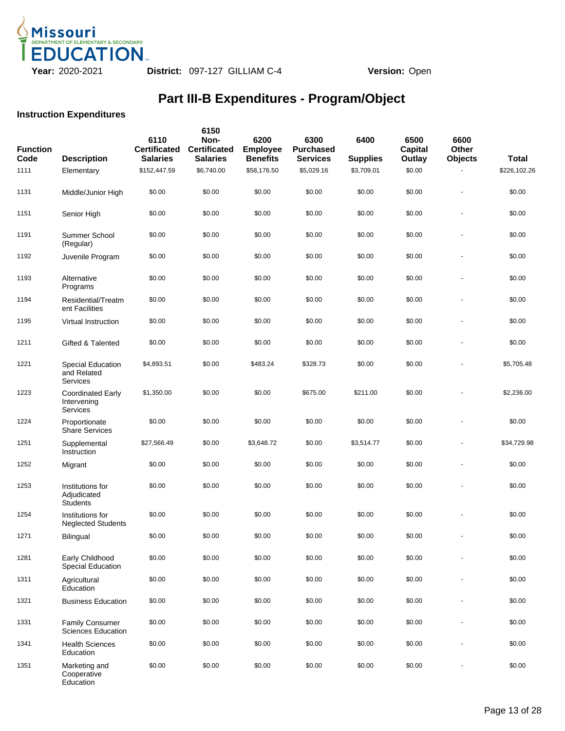

### **Instruction Expenditures**

| <b>Function</b><br>Code | <b>Description</b>                                  | 6110<br><b>Certificated</b><br><b>Salaries</b> | 6150<br>Non-<br><b>Certificated</b><br><b>Salaries</b> | 6200<br><b>Employee</b><br><b>Benefits</b> | 6300<br><b>Purchased</b><br><b>Services</b> | 6400<br><b>Supplies</b> | 6500<br>Capital<br>Outlay | 6600<br><b>Other</b><br><b>Objects</b> | <b>Total</b> |
|-------------------------|-----------------------------------------------------|------------------------------------------------|--------------------------------------------------------|--------------------------------------------|---------------------------------------------|-------------------------|---------------------------|----------------------------------------|--------------|
| 1111                    | Elementary                                          | \$152,447.59                                   | \$6,740.00                                             | \$58,176.50                                | \$5,029.16                                  | \$3,709.01              | \$0.00                    |                                        | \$226,102.26 |
| 1131                    | Middle/Junior High                                  | \$0.00                                         | \$0.00                                                 | \$0.00                                     | \$0.00                                      | \$0.00                  | \$0.00                    |                                        | \$0.00       |
| 1151                    | Senior High                                         | \$0.00                                         | \$0.00                                                 | \$0.00                                     | \$0.00                                      | \$0.00                  | \$0.00                    |                                        | \$0.00       |
| 1191                    | Summer School<br>(Regular)                          | \$0.00                                         | \$0.00                                                 | \$0.00                                     | \$0.00                                      | \$0.00                  | \$0.00                    |                                        | \$0.00       |
| 1192                    | Juvenile Program                                    | \$0.00                                         | \$0.00                                                 | \$0.00                                     | \$0.00                                      | \$0.00                  | \$0.00                    |                                        | \$0.00       |
| 1193                    | Alternative<br>Programs                             | \$0.00                                         | \$0.00                                                 | \$0.00                                     | \$0.00                                      | \$0.00                  | \$0.00                    |                                        | \$0.00       |
| 1194                    | Residential/Treatm<br>ent Facilities                | \$0.00                                         | \$0.00                                                 | \$0.00                                     | \$0.00                                      | \$0.00                  | \$0.00                    |                                        | \$0.00       |
| 1195                    | Virtual Instruction                                 | \$0.00                                         | \$0.00                                                 | \$0.00                                     | \$0.00                                      | \$0.00                  | \$0.00                    |                                        | \$0.00       |
| 1211                    | Gifted & Talented                                   | \$0.00                                         | \$0.00                                                 | \$0.00                                     | \$0.00                                      | \$0.00                  | \$0.00                    |                                        | \$0.00       |
| 1221                    | <b>Special Education</b><br>and Related<br>Services | \$4,893.51                                     | \$0.00                                                 | \$483.24                                   | \$328.73                                    | \$0.00                  | \$0.00                    |                                        | \$5,705.48   |
| 1223                    | <b>Coordinated Early</b><br>Intervening<br>Services | \$1,350.00                                     | \$0.00                                                 | \$0.00                                     | \$675.00                                    | \$211.00                | \$0.00                    |                                        | \$2,236.00   |
| 1224                    | Proportionate<br><b>Share Services</b>              | \$0.00                                         | \$0.00                                                 | \$0.00                                     | \$0.00                                      | \$0.00                  | \$0.00                    |                                        | \$0.00       |
| 1251                    | Supplemental<br>Instruction                         | \$27,566.49                                    | \$0.00                                                 | \$3,648.72                                 | \$0.00                                      | \$3,514.77              | \$0.00                    |                                        | \$34,729.98  |
| 1252                    | Migrant                                             | \$0.00                                         | \$0.00                                                 | \$0.00                                     | \$0.00                                      | \$0.00                  | \$0.00                    |                                        | \$0.00       |
| 1253                    | Institutions for<br>Adjudicated<br><b>Students</b>  | \$0.00                                         | \$0.00                                                 | \$0.00                                     | \$0.00                                      | \$0.00                  | \$0.00                    |                                        | \$0.00       |
| 1254                    | Institutions for<br><b>Neglected Students</b>       | \$0.00                                         | \$0.00                                                 | \$0.00                                     | \$0.00                                      | \$0.00                  | \$0.00                    |                                        | \$0.00       |
| 1271                    | Bilingual                                           | \$0.00                                         | \$0.00                                                 | \$0.00                                     | \$0.00                                      | \$0.00                  | \$0.00                    |                                        | \$0.00       |
| 1281                    | Early Childhood<br>Special Education                | \$0.00                                         | \$0.00                                                 | \$0.00                                     | \$0.00                                      | \$0.00                  | \$0.00                    |                                        | \$0.00       |
| 1311                    | Agricultural<br>Education                           | \$0.00                                         | \$0.00                                                 | \$0.00                                     | \$0.00                                      | \$0.00                  | \$0.00                    |                                        | \$0.00       |
| 1321                    | <b>Business Education</b>                           | \$0.00                                         | \$0.00                                                 | \$0.00                                     | \$0.00                                      | \$0.00                  | \$0.00                    |                                        | \$0.00       |
| 1331                    | Family Consumer<br><b>Sciences Education</b>        | \$0.00                                         | \$0.00                                                 | \$0.00                                     | \$0.00                                      | \$0.00                  | \$0.00                    |                                        | \$0.00       |
| 1341                    | <b>Health Sciences</b><br>Education                 | \$0.00                                         | \$0.00                                                 | \$0.00                                     | \$0.00                                      | \$0.00                  | \$0.00                    |                                        | \$0.00       |
| 1351                    | Marketing and<br>Cooperative<br>Education           | \$0.00                                         | \$0.00                                                 | \$0.00                                     | \$0.00                                      | \$0.00                  | \$0.00                    |                                        | \$0.00       |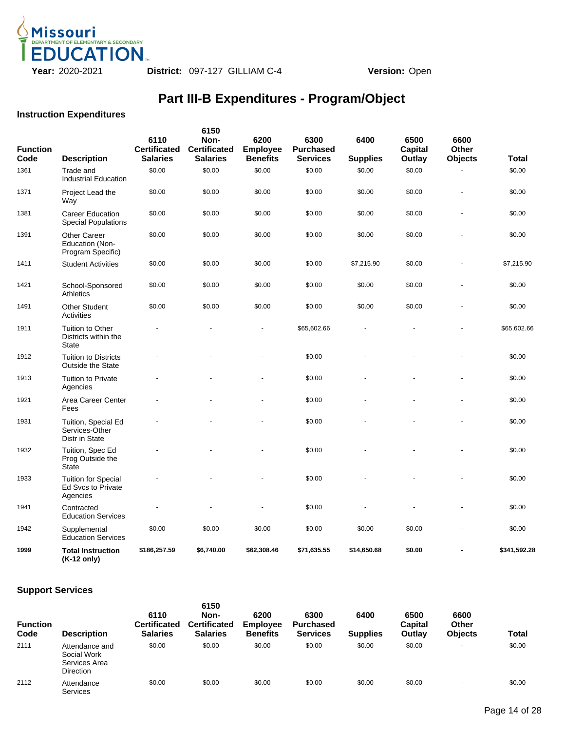

### **Instruction Expenditures**

| <b>Function</b><br>Code | <b>Description</b>                                                  | 6110<br><b>Certificated</b><br><b>Salaries</b> | 6150<br>Non-<br><b>Certificated</b><br><b>Salaries</b> | 6200<br><b>Employee</b><br><b>Benefits</b> | 6300<br><b>Purchased</b><br><b>Services</b> | 6400<br><b>Supplies</b> | 6500<br><b>Capital</b><br>Outlay | 6600<br><b>Other</b><br><b>Objects</b> | Total        |
|-------------------------|---------------------------------------------------------------------|------------------------------------------------|--------------------------------------------------------|--------------------------------------------|---------------------------------------------|-------------------------|----------------------------------|----------------------------------------|--------------|
| 1361                    | Trade and<br><b>Industrial Education</b>                            | \$0.00                                         | \$0.00                                                 | \$0.00                                     | \$0.00                                      | \$0.00                  | \$0.00                           |                                        | \$0.00       |
| 1371                    | Project Lead the<br>Way                                             | \$0.00                                         | \$0.00                                                 | \$0.00                                     | \$0.00                                      | \$0.00                  | \$0.00                           |                                        | \$0.00       |
| 1381                    | <b>Career Education</b><br><b>Special Populations</b>               | \$0.00                                         | \$0.00                                                 | \$0.00                                     | \$0.00                                      | \$0.00                  | \$0.00                           |                                        | \$0.00       |
| 1391                    | <b>Other Career</b><br>Education (Non-<br>Program Specific)         | \$0.00                                         | \$0.00                                                 | \$0.00                                     | \$0.00                                      | \$0.00                  | \$0.00                           |                                        | \$0.00       |
| 1411                    | <b>Student Activities</b>                                           | \$0.00                                         | \$0.00                                                 | \$0.00                                     | \$0.00                                      | \$7,215.90              | \$0.00                           |                                        | \$7,215.90   |
| 1421                    | School-Sponsored<br><b>Athletics</b>                                | \$0.00                                         | \$0.00                                                 | \$0.00                                     | \$0.00                                      | \$0.00                  | \$0.00                           |                                        | \$0.00       |
| 1491                    | <b>Other Student</b><br>Activities                                  | \$0.00                                         | \$0.00                                                 | \$0.00                                     | \$0.00                                      | \$0.00                  | \$0.00                           |                                        | \$0.00       |
| 1911                    | <b>Tuition to Other</b><br>Districts within the<br><b>State</b>     |                                                |                                                        | ÷,                                         | \$65,602.66                                 |                         |                                  |                                        | \$65,602.66  |
| 1912                    | <b>Tuition to Districts</b><br><b>Outside the State</b>             |                                                |                                                        |                                            | \$0.00                                      |                         |                                  |                                        | \$0.00       |
| 1913                    | <b>Tuition to Private</b><br>Agencies                               |                                                |                                                        |                                            | \$0.00                                      |                         |                                  |                                        | \$0.00       |
| 1921                    | Area Career Center<br>Fees                                          |                                                |                                                        |                                            | \$0.00                                      |                         |                                  |                                        | \$0.00       |
| 1931                    | Tuition, Special Ed<br>Services-Other<br>Distr in State             |                                                |                                                        |                                            | \$0.00                                      |                         |                                  |                                        | \$0.00       |
| 1932                    | Tuition, Spec Ed<br>Prog Outside the<br><b>State</b>                |                                                |                                                        |                                            | \$0.00                                      |                         |                                  |                                        | \$0.00       |
| 1933                    | <b>Tuition for Special</b><br><b>Ed Sycs to Private</b><br>Agencies |                                                |                                                        |                                            | \$0.00                                      |                         |                                  |                                        | \$0.00       |
| 1941                    | Contracted<br><b>Education Services</b>                             |                                                |                                                        |                                            | \$0.00                                      |                         |                                  |                                        | \$0.00       |
| 1942                    | Supplemental<br><b>Education Services</b>                           | \$0.00                                         | \$0.00                                                 | \$0.00                                     | \$0.00                                      | \$0.00                  | \$0.00                           |                                        | \$0.00       |
| 1999                    | <b>Total Instruction</b><br>(K-12 only)                             | \$186,257.59                                   | \$6,740.00                                             | \$62,308.46                                | \$71,635.55                                 | \$14,650.68             | \$0.00                           |                                        | \$341,592.28 |

| <b>Function</b><br>Code | <b>Description</b>                                                 | 6110<br><b>Certificated</b><br><b>Salaries</b> | 6150<br>Non-<br><b>Certificated</b><br><b>Salaries</b> | 6200<br><b>Employee</b><br><b>Benefits</b> | 6300<br><b>Purchased</b><br><b>Services</b> | 6400<br><b>Supplies</b> | 6500<br>Capital<br>Outlay | 6600<br>Other<br><b>Objects</b> | Total  |
|-------------------------|--------------------------------------------------------------------|------------------------------------------------|--------------------------------------------------------|--------------------------------------------|---------------------------------------------|-------------------------|---------------------------|---------------------------------|--------|
| 2111                    | Attendance and<br>Social Work<br>Services Area<br><b>Direction</b> | \$0.00                                         | \$0.00                                                 | \$0.00                                     | \$0.00                                      | \$0.00                  | \$0.00                    | $\overline{\phantom{a}}$        | \$0.00 |
| 2112                    | Attendance<br><b>Services</b>                                      | \$0.00                                         | \$0.00                                                 | \$0.00                                     | \$0.00                                      | \$0.00                  | \$0.00                    | $\overline{\phantom{a}}$        | \$0.00 |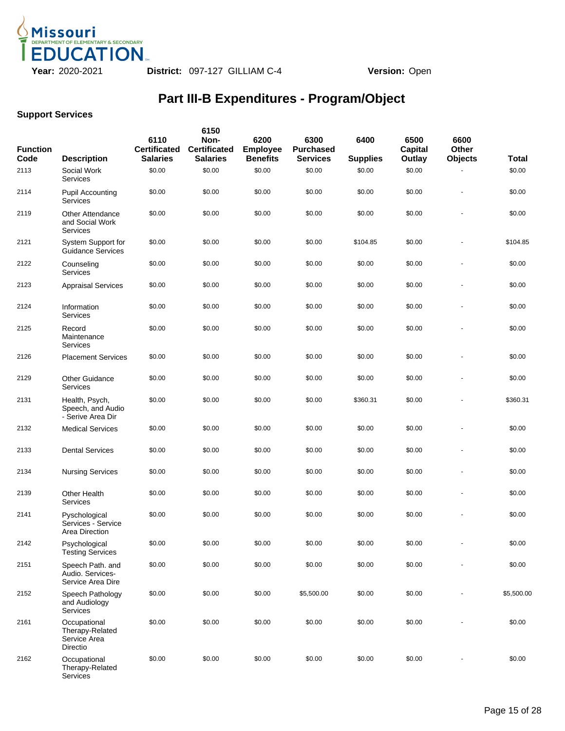

| <b>Function</b><br>Code | <b>Description</b>                                          | 6110<br><b>Certificated</b><br><b>Salaries</b> | 6150<br>Non-<br><b>Certificated</b><br><b>Salaries</b> | 6200<br><b>Employee</b><br><b>Benefits</b> | 6300<br><b>Purchased</b><br><b>Services</b> | 6400<br><b>Supplies</b> | 6500<br>Capital<br>Outlay | 6600<br>Other<br><b>Objects</b> | Total      |
|-------------------------|-------------------------------------------------------------|------------------------------------------------|--------------------------------------------------------|--------------------------------------------|---------------------------------------------|-------------------------|---------------------------|---------------------------------|------------|
| 2113                    | Social Work<br>Services                                     | \$0.00                                         | \$0.00                                                 | \$0.00                                     | \$0.00                                      | \$0.00                  | \$0.00                    |                                 | \$0.00     |
| 2114                    | <b>Pupil Accounting</b><br>Services                         | \$0.00                                         | \$0.00                                                 | \$0.00                                     | \$0.00                                      | \$0.00                  | \$0.00                    | ÷,                              | \$0.00     |
| 2119                    | <b>Other Attendance</b><br>and Social Work<br>Services      | \$0.00                                         | \$0.00                                                 | \$0.00                                     | \$0.00                                      | \$0.00                  | \$0.00                    |                                 | \$0.00     |
| 2121                    | System Support for<br>Guidance Services                     | \$0.00                                         | \$0.00                                                 | \$0.00                                     | \$0.00                                      | \$104.85                | \$0.00                    | ä,                              | \$104.85   |
| 2122                    | Counseling<br>Services                                      | \$0.00                                         | \$0.00                                                 | \$0.00                                     | \$0.00                                      | \$0.00                  | \$0.00                    |                                 | \$0.00     |
| 2123                    | <b>Appraisal Services</b>                                   | \$0.00                                         | \$0.00                                                 | \$0.00                                     | \$0.00                                      | \$0.00                  | \$0.00                    |                                 | \$0.00     |
| 2124                    | Information<br>Services                                     | \$0.00                                         | \$0.00                                                 | \$0.00                                     | \$0.00                                      | \$0.00                  | \$0.00                    | ä,                              | \$0.00     |
| 2125                    | Record<br>Maintenance<br>Services                           | \$0.00                                         | \$0.00                                                 | \$0.00                                     | \$0.00                                      | \$0.00                  | \$0.00                    |                                 | \$0.00     |
| 2126                    | <b>Placement Services</b>                                   | \$0.00                                         | \$0.00                                                 | \$0.00                                     | \$0.00                                      | \$0.00                  | \$0.00                    |                                 | \$0.00     |
| 2129                    | <b>Other Guidance</b><br>Services                           | \$0.00                                         | \$0.00                                                 | \$0.00                                     | \$0.00                                      | \$0.00                  | \$0.00                    |                                 | \$0.00     |
| 2131                    | Health, Psych,<br>Speech, and Audio<br>- Serive Area Dir    | \$0.00                                         | \$0.00                                                 | \$0.00                                     | \$0.00                                      | \$360.31                | \$0.00                    |                                 | \$360.31   |
| 2132                    | <b>Medical Services</b>                                     | \$0.00                                         | \$0.00                                                 | \$0.00                                     | \$0.00                                      | \$0.00                  | \$0.00                    | ä,                              | \$0.00     |
| 2133                    | <b>Dental Services</b>                                      | \$0.00                                         | \$0.00                                                 | \$0.00                                     | \$0.00                                      | \$0.00                  | \$0.00                    | $\blacksquare$                  | \$0.00     |
| 2134                    | <b>Nursing Services</b>                                     | \$0.00                                         | \$0.00                                                 | \$0.00                                     | \$0.00                                      | \$0.00                  | \$0.00                    |                                 | \$0.00     |
| 2139                    | <b>Other Health</b><br>Services                             | \$0.00                                         | \$0.00                                                 | \$0.00                                     | \$0.00                                      | \$0.00                  | \$0.00                    | $\blacksquare$                  | \$0.00     |
| 2141                    | Pyschological<br>Services - Service<br>Area Direction       | \$0.00                                         | \$0.00                                                 | \$0.00                                     | \$0.00                                      | \$0.00                  | \$0.00                    | ä,                              | \$0.00     |
| 2142                    | Psychological<br><b>Testing Services</b>                    | \$0.00                                         | \$0.00                                                 | \$0.00                                     | \$0.00                                      | \$0.00                  | \$0.00                    |                                 | \$0.00     |
| 2151                    | Speech Path. and<br>Audio. Services-<br>Service Area Dire   | \$0.00                                         | \$0.00                                                 | \$0.00                                     | \$0.00                                      | \$0.00                  | \$0.00                    |                                 | \$0.00     |
| 2152                    | Speech Pathology<br>and Audiology<br>Services               | \$0.00                                         | \$0.00                                                 | \$0.00                                     | \$5,500.00                                  | \$0.00                  | \$0.00                    |                                 | \$5,500.00 |
| 2161                    | Occupational<br>Therapy-Related<br>Service Area<br>Directio | \$0.00                                         | \$0.00                                                 | \$0.00                                     | \$0.00                                      | \$0.00                  | \$0.00                    |                                 | \$0.00     |
| 2162                    | Occupational<br>Therapy-Related<br>Services                 | \$0.00                                         | \$0.00                                                 | \$0.00                                     | \$0.00                                      | \$0.00                  | \$0.00                    | $\blacksquare$                  | \$0.00     |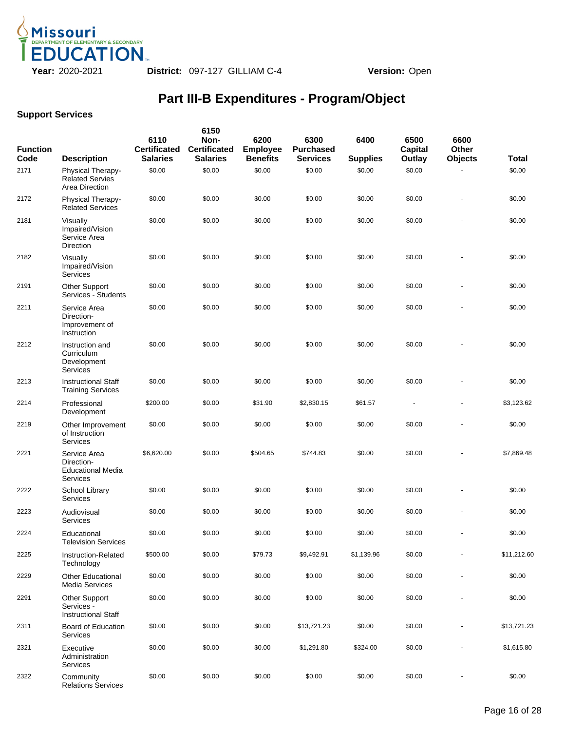

| <b>Function</b><br>Code | <b>Description</b>                                                   | 6110<br><b>Certificated</b><br><b>Salaries</b> | 6150<br>Non-<br><b>Certificated</b><br><b>Salaries</b> | 6200<br><b>Employee</b><br><b>Benefits</b> | 6300<br><b>Purchased</b><br><b>Services</b> | 6400<br><b>Supplies</b> | 6500<br>Capital<br>Outlay | 6600<br>Other<br><b>Objects</b> | Total       |
|-------------------------|----------------------------------------------------------------------|------------------------------------------------|--------------------------------------------------------|--------------------------------------------|---------------------------------------------|-------------------------|---------------------------|---------------------------------|-------------|
| 2171                    | <b>Physical Therapy-</b><br><b>Related Servies</b><br>Area Direction | \$0.00                                         | \$0.00                                                 | \$0.00                                     | \$0.00                                      | \$0.00                  | \$0.00                    |                                 | \$0.00      |
| 2172                    | Physical Therapy-<br><b>Related Services</b>                         | \$0.00                                         | \$0.00                                                 | \$0.00                                     | \$0.00                                      | \$0.00                  | \$0.00                    | ä,                              | \$0.00      |
| 2181                    | Visually<br>Impaired/Vision<br>Service Area<br>Direction             | \$0.00                                         | \$0.00                                                 | \$0.00                                     | \$0.00                                      | \$0.00                  | \$0.00                    | ä,                              | \$0.00      |
| 2182                    | Visually<br>Impaired/Vision<br>Services                              | \$0.00                                         | \$0.00                                                 | \$0.00                                     | \$0.00                                      | \$0.00                  | \$0.00                    |                                 | \$0.00      |
| 2191                    | <b>Other Support</b><br>Services - Students                          | \$0.00                                         | \$0.00                                                 | \$0.00                                     | \$0.00                                      | \$0.00                  | \$0.00                    | ÷                               | \$0.00      |
| 2211                    | Service Area<br>Direction-<br>Improvement of<br>Instruction          | \$0.00                                         | \$0.00                                                 | \$0.00                                     | \$0.00                                      | \$0.00                  | \$0.00                    |                                 | \$0.00      |
| 2212                    | Instruction and<br>Curriculum<br>Development<br>Services             | \$0.00                                         | \$0.00                                                 | \$0.00                                     | \$0.00                                      | \$0.00                  | \$0.00                    |                                 | \$0.00      |
| 2213                    | <b>Instructional Staff</b><br><b>Training Services</b>               | \$0.00                                         | \$0.00                                                 | \$0.00                                     | \$0.00                                      | \$0.00                  | \$0.00                    |                                 | \$0.00      |
| 2214                    | Professional<br>Development                                          | \$200.00                                       | \$0.00                                                 | \$31.90                                    | \$2,830.15                                  | \$61.57                 | $\overline{a}$            | ٠                               | \$3,123.62  |
| 2219                    | Other Improvement<br>of Instruction<br>Services                      | \$0.00                                         | \$0.00                                                 | \$0.00                                     | \$0.00                                      | \$0.00                  | \$0.00                    |                                 | \$0.00      |
| 2221                    | Service Area<br>Direction-<br><b>Educational Media</b><br>Services   | \$6,620.00                                     | \$0.00                                                 | \$504.65                                   | \$744.83                                    | \$0.00                  | \$0.00                    |                                 | \$7,869.48  |
| 2222                    | School Library<br>Services                                           | \$0.00                                         | \$0.00                                                 | \$0.00                                     | \$0.00                                      | \$0.00                  | \$0.00                    |                                 | \$0.00      |
| 2223                    | Audiovisual<br>Services                                              | \$0.00                                         | \$0.00                                                 | \$0.00                                     | \$0.00                                      | \$0.00                  | \$0.00                    |                                 | \$0.00      |
| 2224                    | Educational<br><b>Television Services</b>                            | \$0.00                                         | \$0.00                                                 | \$0.00                                     | \$0.00                                      | \$0.00                  | \$0.00                    | ä,                              | \$0.00      |
| 2225                    | Instruction-Related<br>Technology                                    | \$500.00                                       | \$0.00                                                 | \$79.73                                    | \$9,492.91                                  | \$1,139.96              | \$0.00                    |                                 | \$11,212.60 |
| 2229                    | Other Educational<br><b>Media Services</b>                           | \$0.00                                         | \$0.00                                                 | \$0.00                                     | \$0.00                                      | \$0.00                  | \$0.00                    |                                 | \$0.00      |
| 2291                    | <b>Other Support</b><br>Services -<br><b>Instructional Staff</b>     | \$0.00                                         | \$0.00                                                 | \$0.00                                     | \$0.00                                      | \$0.00                  | \$0.00                    |                                 | \$0.00      |
| 2311                    | <b>Board of Education</b><br><b>Services</b>                         | \$0.00                                         | \$0.00                                                 | \$0.00                                     | \$13,721.23                                 | \$0.00                  | \$0.00                    |                                 | \$13,721.23 |
| 2321                    | Executive<br>Administration<br>Services                              | \$0.00                                         | \$0.00                                                 | \$0.00                                     | \$1,291.80                                  | \$324.00                | \$0.00                    |                                 | \$1,615.80  |
| 2322                    | Community<br><b>Relations Services</b>                               | \$0.00                                         | \$0.00                                                 | \$0.00                                     | \$0.00                                      | \$0.00                  | \$0.00                    | $\blacksquare$                  | \$0.00      |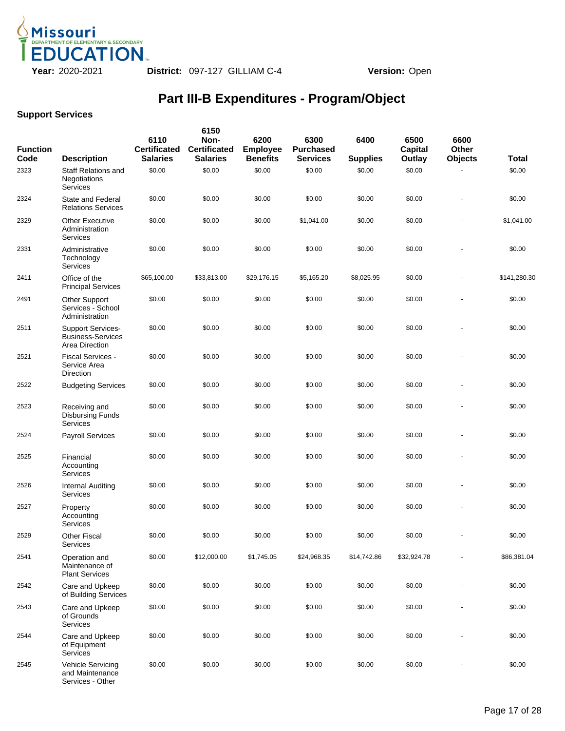

| <b>Function</b><br>Code | <b>Description</b>                                                     | 6110<br><b>Certificated</b><br><b>Salaries</b> | 6150<br>Non-<br><b>Certificated</b><br><b>Salaries</b> | 6200<br><b>Employee</b><br><b>Benefits</b> | 6300<br><b>Purchased</b><br><b>Services</b> | 6400<br><b>Supplies</b> | 6500<br><b>Capital</b><br>Outlay | 6600<br>Other<br><b>Objects</b> | Total        |
|-------------------------|------------------------------------------------------------------------|------------------------------------------------|--------------------------------------------------------|--------------------------------------------|---------------------------------------------|-------------------------|----------------------------------|---------------------------------|--------------|
| 2323                    | <b>Staff Relations and</b><br>Negotiations<br><b>Services</b>          | \$0.00                                         | \$0.00                                                 | \$0.00                                     | \$0.00                                      | \$0.00                  | \$0.00                           |                                 | \$0.00       |
| 2324                    | State and Federal<br><b>Relations Services</b>                         | \$0.00                                         | \$0.00                                                 | \$0.00                                     | \$0.00                                      | \$0.00                  | \$0.00                           |                                 | \$0.00       |
| 2329                    | <b>Other Executive</b><br>Administration<br>Services                   | \$0.00                                         | \$0.00                                                 | \$0.00                                     | \$1,041.00                                  | \$0.00                  | \$0.00                           |                                 | \$1,041.00   |
| 2331                    | Administrative<br>Technology<br>Services                               | \$0.00                                         | \$0.00                                                 | \$0.00                                     | \$0.00                                      | \$0.00                  | \$0.00                           |                                 | \$0.00       |
| 2411                    | Office of the<br><b>Principal Services</b>                             | \$65,100.00                                    | \$33,813.00                                            | \$29,176.15                                | \$5,165.20                                  | \$8,025.95              | \$0.00                           |                                 | \$141,280.30 |
| 2491                    | Other Support<br>Services - School<br>Administration                   | \$0.00                                         | \$0.00                                                 | \$0.00                                     | \$0.00                                      | \$0.00                  | \$0.00                           |                                 | \$0.00       |
| 2511                    | <b>Support Services-</b><br><b>Business-Services</b><br>Area Direction | \$0.00                                         | \$0.00                                                 | \$0.00                                     | \$0.00                                      | \$0.00                  | \$0.00                           |                                 | \$0.00       |
| 2521                    | Fiscal Services -<br>Service Area<br><b>Direction</b>                  | \$0.00                                         | \$0.00                                                 | \$0.00                                     | \$0.00                                      | \$0.00                  | \$0.00                           |                                 | \$0.00       |
| 2522                    | <b>Budgeting Services</b>                                              | \$0.00                                         | \$0.00                                                 | \$0.00                                     | \$0.00                                      | \$0.00                  | \$0.00                           |                                 | \$0.00       |
| 2523                    | Receiving and<br><b>Disbursing Funds</b><br>Services                   | \$0.00                                         | \$0.00                                                 | \$0.00                                     | \$0.00                                      | \$0.00                  | \$0.00                           |                                 | \$0.00       |
| 2524                    | <b>Payroll Services</b>                                                | \$0.00                                         | \$0.00                                                 | \$0.00                                     | \$0.00                                      | \$0.00                  | \$0.00                           |                                 | \$0.00       |
| 2525                    | Financial<br>Accounting<br>Services                                    | \$0.00                                         | \$0.00                                                 | \$0.00                                     | \$0.00                                      | \$0.00                  | \$0.00                           |                                 | \$0.00       |
| 2526                    | Internal Auditing<br>Services                                          | \$0.00                                         | \$0.00                                                 | \$0.00                                     | \$0.00                                      | \$0.00                  | \$0.00                           |                                 | \$0.00       |
| 2527                    | Property<br>Accounting<br>Services                                     | \$0.00                                         | \$0.00                                                 | \$0.00                                     | \$0.00                                      | \$0.00                  | \$0.00                           |                                 | \$0.00       |
| 2529                    | Other Fiscal<br>Services                                               | \$0.00                                         | \$0.00                                                 | \$0.00                                     | \$0.00                                      | \$0.00                  | \$0.00                           |                                 | \$0.00       |
| 2541                    | Operation and<br>Maintenance of<br><b>Plant Services</b>               | \$0.00                                         | \$12,000.00                                            | \$1,745.05                                 | \$24,968.35                                 | \$14,742.86             | \$32,924.78                      |                                 | \$86,381.04  |
| 2542                    | Care and Upkeep<br>of Building Services                                | \$0.00                                         | \$0.00                                                 | \$0.00                                     | \$0.00                                      | \$0.00                  | \$0.00                           |                                 | \$0.00       |
| 2543                    | Care and Upkeep<br>of Grounds<br>Services                              | \$0.00                                         | \$0.00                                                 | \$0.00                                     | \$0.00                                      | \$0.00                  | \$0.00                           |                                 | \$0.00       |
| 2544                    | Care and Upkeep<br>of Equipment<br>Services                            | \$0.00                                         | \$0.00                                                 | \$0.00                                     | \$0.00                                      | \$0.00                  | \$0.00                           |                                 | \$0.00       |
| 2545                    | <b>Vehicle Servicing</b><br>and Maintenance<br>Services - Other        | \$0.00                                         | \$0.00                                                 | \$0.00                                     | \$0.00                                      | \$0.00                  | \$0.00                           |                                 | \$0.00       |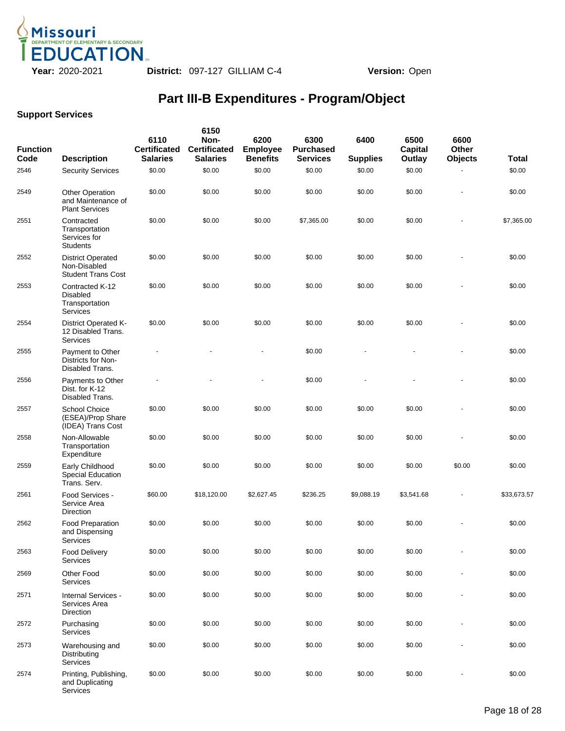

| <b>Function</b><br>Code | <b>Description</b>                                                    | 6110<br><b>Certificated</b><br><b>Salaries</b> | 6150<br>Non-<br><b>Certificated</b><br><b>Salaries</b> | 6200<br><b>Employee</b><br><b>Benefits</b> | 6300<br><b>Purchased</b><br><b>Services</b> | 6400<br><b>Supplies</b> | 6500<br>Capital<br>Outlay | 6600<br>Other<br><b>Objects</b> | Total       |
|-------------------------|-----------------------------------------------------------------------|------------------------------------------------|--------------------------------------------------------|--------------------------------------------|---------------------------------------------|-------------------------|---------------------------|---------------------------------|-------------|
| 2546                    | <b>Security Services</b>                                              | \$0.00                                         | \$0.00                                                 | \$0.00                                     | \$0.00                                      | \$0.00                  | \$0.00                    |                                 | \$0.00      |
| 2549                    | <b>Other Operation</b><br>and Maintenance of<br><b>Plant Services</b> | \$0.00                                         | \$0.00                                                 | \$0.00                                     | \$0.00                                      | \$0.00                  | \$0.00                    |                                 | \$0.00      |
| 2551                    | Contracted<br>Transportation<br>Services for<br><b>Students</b>       | \$0.00                                         | \$0.00                                                 | \$0.00                                     | \$7,365.00                                  | \$0.00                  | \$0.00                    |                                 | \$7,365.00  |
| 2552                    | <b>District Operated</b><br>Non-Disabled<br><b>Student Trans Cost</b> | \$0.00                                         | \$0.00                                                 | \$0.00                                     | \$0.00                                      | \$0.00                  | \$0.00                    |                                 | \$0.00      |
| 2553                    | Contracted K-12<br>Disabled<br>Transportation<br>Services             | \$0.00                                         | \$0.00                                                 | \$0.00                                     | \$0.00                                      | \$0.00                  | \$0.00                    |                                 | \$0.00      |
| 2554                    | <b>District Operated K-</b><br>12 Disabled Trans.<br>Services         | \$0.00                                         | \$0.00                                                 | \$0.00                                     | \$0.00                                      | \$0.00                  | \$0.00                    |                                 | \$0.00      |
| 2555                    | Payment to Other<br>Districts for Non-<br>Disabled Trans.             |                                                |                                                        |                                            | \$0.00                                      |                         |                           |                                 | \$0.00      |
| 2556                    | Payments to Other<br>Dist. for K-12<br>Disabled Trans.                |                                                |                                                        | ÷,                                         | \$0.00                                      |                         |                           |                                 | \$0.00      |
| 2557                    | School Choice<br>(ESEA)/Prop Share<br>(IDEA) Trans Cost               | \$0.00                                         | \$0.00                                                 | \$0.00                                     | \$0.00                                      | \$0.00                  | \$0.00                    |                                 | \$0.00      |
| 2558                    | Non-Allowable<br>Transportation<br>Expenditure                        | \$0.00                                         | \$0.00                                                 | \$0.00                                     | \$0.00                                      | \$0.00                  | \$0.00                    |                                 | \$0.00      |
| 2559                    | Early Childhood<br><b>Special Education</b><br>Trans. Serv.           | \$0.00                                         | \$0.00                                                 | \$0.00                                     | \$0.00                                      | \$0.00                  | \$0.00                    | \$0.00                          | \$0.00      |
| 2561                    | Food Services -<br>Service Area<br>Direction                          | \$60.00                                        | \$18,120.00                                            | \$2,627.45                                 | \$236.25                                    | \$9,088.19              | \$3,541.68                |                                 | \$33,673.57 |
| 2562                    | <b>Food Preparation</b><br>and Dispensing<br>Services                 | \$0.00                                         | \$0.00                                                 | \$0.00                                     | \$0.00                                      | \$0.00                  | \$0.00                    |                                 | \$0.00      |
| 2563                    | Food Delivery<br><b>Services</b>                                      | \$0.00                                         | \$0.00                                                 | \$0.00                                     | \$0.00                                      | \$0.00                  | \$0.00                    |                                 | \$0.00      |
| 2569                    | Other Food<br>Services                                                | \$0.00                                         | \$0.00                                                 | \$0.00                                     | \$0.00                                      | \$0.00                  | \$0.00                    |                                 | \$0.00      |
| 2571                    | Internal Services -<br>Services Area<br>Direction                     | \$0.00                                         | \$0.00                                                 | \$0.00                                     | \$0.00                                      | \$0.00                  | \$0.00                    |                                 | \$0.00      |
| 2572                    | Purchasing<br>Services                                                | \$0.00                                         | \$0.00                                                 | \$0.00                                     | \$0.00                                      | \$0.00                  | \$0.00                    |                                 | \$0.00      |
| 2573                    | Warehousing and<br>Distributing<br>Services                           | \$0.00                                         | \$0.00                                                 | \$0.00                                     | \$0.00                                      | \$0.00                  | \$0.00                    |                                 | \$0.00      |
| 2574                    | Printing, Publishing,<br>and Duplicating<br>Services                  | \$0.00                                         | \$0.00                                                 | \$0.00                                     | \$0.00                                      | \$0.00                  | \$0.00                    |                                 | \$0.00      |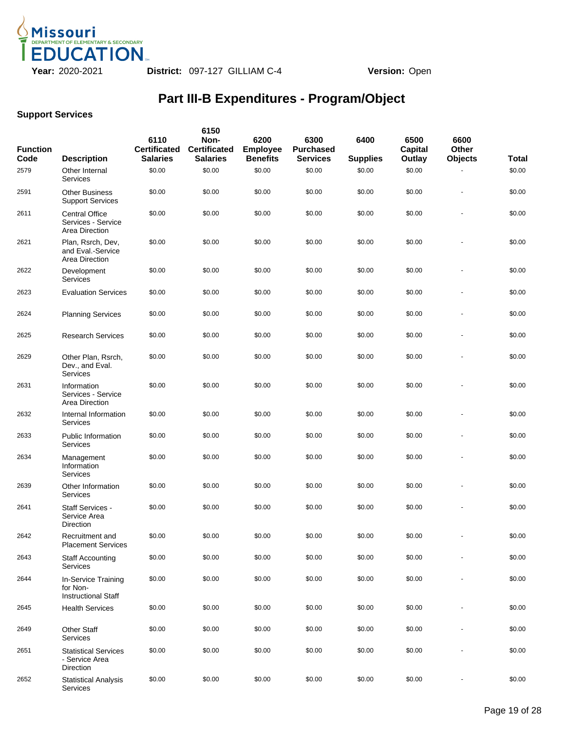

| <b>Function</b><br>Code | <b>Description</b>                                            | 6110<br><b>Certificated</b><br><b>Salaries</b> | 6150<br>Non-<br><b>Certificated</b><br><b>Salaries</b> | 6200<br><b>Employee</b><br><b>Benefits</b> | 6300<br><b>Purchased</b><br><b>Services</b> | 6400<br><b>Supplies</b> | 6500<br>Capital<br>Outlay | 6600<br><b>Other</b><br><b>Objects</b> | <b>Total</b> |
|-------------------------|---------------------------------------------------------------|------------------------------------------------|--------------------------------------------------------|--------------------------------------------|---------------------------------------------|-------------------------|---------------------------|----------------------------------------|--------------|
| 2579                    | Other Internal<br>Services                                    | \$0.00                                         | \$0.00                                                 | \$0.00                                     | \$0.00                                      | \$0.00                  | \$0.00                    |                                        | \$0.00       |
| 2591                    | <b>Other Business</b><br><b>Support Services</b>              | \$0.00                                         | \$0.00                                                 | \$0.00                                     | \$0.00                                      | \$0.00                  | \$0.00                    | ٠                                      | \$0.00       |
| 2611                    | <b>Central Office</b><br>Services - Service<br>Area Direction | \$0.00                                         | \$0.00                                                 | \$0.00                                     | \$0.00                                      | \$0.00                  | \$0.00                    |                                        | \$0.00       |
| 2621                    | Plan, Rsrch, Dev,<br>and Eval.-Service<br>Area Direction      | \$0.00                                         | \$0.00                                                 | \$0.00                                     | \$0.00                                      | \$0.00                  | \$0.00                    |                                        | \$0.00       |
| 2622                    | Development<br>Services                                       | \$0.00                                         | \$0.00                                                 | \$0.00                                     | \$0.00                                      | \$0.00                  | \$0.00                    |                                        | \$0.00       |
| 2623                    | <b>Evaluation Services</b>                                    | \$0.00                                         | \$0.00                                                 | \$0.00                                     | \$0.00                                      | \$0.00                  | \$0.00                    |                                        | \$0.00       |
| 2624                    | <b>Planning Services</b>                                      | \$0.00                                         | \$0.00                                                 | \$0.00                                     | \$0.00                                      | \$0.00                  | \$0.00                    |                                        | \$0.00       |
| 2625                    | <b>Research Services</b>                                      | \$0.00                                         | \$0.00                                                 | \$0.00                                     | \$0.00                                      | \$0.00                  | \$0.00                    |                                        | \$0.00       |
| 2629                    | Other Plan, Rsrch,<br>Dev., and Eval.<br>Services             | \$0.00                                         | \$0.00                                                 | \$0.00                                     | \$0.00                                      | \$0.00                  | \$0.00                    |                                        | \$0.00       |
| 2631                    | Information<br>Services - Service<br>Area Direction           | \$0.00                                         | \$0.00                                                 | \$0.00                                     | \$0.00                                      | \$0.00                  | \$0.00                    |                                        | \$0.00       |
| 2632                    | Internal Information<br>Services                              | \$0.00                                         | \$0.00                                                 | \$0.00                                     | \$0.00                                      | \$0.00                  | \$0.00                    |                                        | \$0.00       |
| 2633                    | <b>Public Information</b><br>Services                         | \$0.00                                         | \$0.00                                                 | \$0.00                                     | \$0.00                                      | \$0.00                  | \$0.00                    |                                        | \$0.00       |
| 2634                    | Management<br>Information<br>Services                         | \$0.00                                         | \$0.00                                                 | \$0.00                                     | \$0.00                                      | \$0.00                  | \$0.00                    |                                        | \$0.00       |
| 2639                    | Other Information<br>Services                                 | \$0.00                                         | \$0.00                                                 | \$0.00                                     | \$0.00                                      | \$0.00                  | \$0.00                    |                                        | \$0.00       |
| 2641                    | <b>Staff Services -</b><br>Service Area<br>Direction          | \$0.00                                         | \$0.00                                                 | \$0.00                                     | \$0.00                                      | \$0.00                  | \$0.00                    |                                        | \$0.00       |
| 2642                    | Recruitment and<br><b>Placement Services</b>                  | \$0.00                                         | \$0.00                                                 | \$0.00                                     | \$0.00                                      | \$0.00                  | \$0.00                    |                                        | \$0.00       |
| 2643                    | <b>Staff Accounting</b><br>Services                           | \$0.00                                         | \$0.00                                                 | \$0.00                                     | \$0.00                                      | \$0.00                  | \$0.00                    |                                        | \$0.00       |
| 2644                    | In-Service Training<br>for Non-<br><b>Instructional Staff</b> | \$0.00                                         | \$0.00                                                 | \$0.00                                     | \$0.00                                      | \$0.00                  | \$0.00                    |                                        | \$0.00       |
| 2645                    | <b>Health Services</b>                                        | \$0.00                                         | \$0.00                                                 | \$0.00                                     | \$0.00                                      | \$0.00                  | \$0.00                    |                                        | \$0.00       |
| 2649                    | <b>Other Staff</b><br>Services                                | \$0.00                                         | \$0.00                                                 | \$0.00                                     | \$0.00                                      | \$0.00                  | \$0.00                    |                                        | \$0.00       |
| 2651                    | <b>Statistical Services</b><br>- Service Area<br>Direction    | \$0.00                                         | \$0.00                                                 | \$0.00                                     | \$0.00                                      | \$0.00                  | \$0.00                    |                                        | \$0.00       |
| 2652                    | <b>Statistical Analysis</b><br>Services                       | \$0.00                                         | \$0.00                                                 | \$0.00                                     | \$0.00                                      | \$0.00                  | \$0.00                    |                                        | \$0.00       |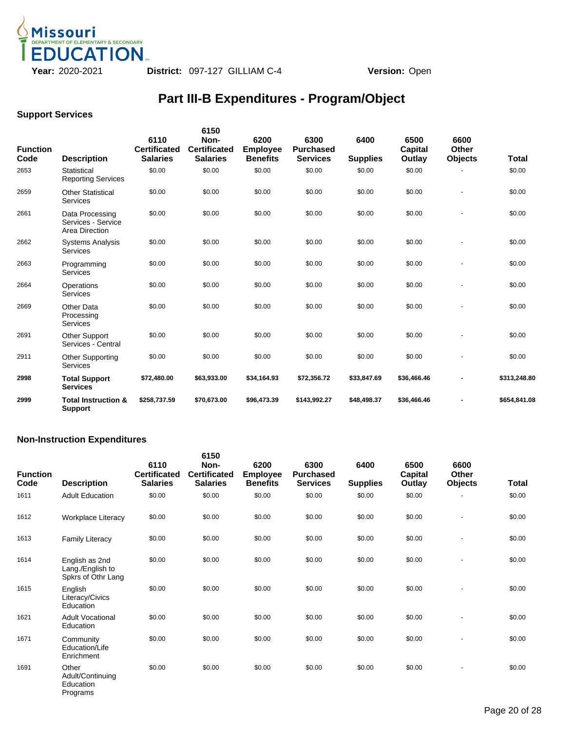

### **Support Services**

| <b>Function</b><br>Code | <b>Description</b>                                      | 6110<br><b>Certificated</b><br><b>Salaries</b> | 6150<br>Non-<br><b>Certificated</b><br><b>Salaries</b> | 6200<br><b>Employee</b><br><b>Benefits</b> | 6300<br><b>Purchased</b><br><b>Services</b> | 6400<br><b>Supplies</b> | 6500<br>Capital<br>Outlay | 6600<br><b>Other</b><br><b>Objects</b> | <b>Total</b> |
|-------------------------|---------------------------------------------------------|------------------------------------------------|--------------------------------------------------------|--------------------------------------------|---------------------------------------------|-------------------------|---------------------------|----------------------------------------|--------------|
| 2653                    | Statistical<br><b>Reporting Services</b>                | \$0.00                                         | \$0.00                                                 | \$0.00                                     | \$0.00                                      | \$0.00                  | \$0.00                    |                                        | \$0.00       |
| 2659                    | <b>Other Statistical</b><br>Services                    | \$0.00                                         | \$0.00                                                 | \$0.00                                     | \$0.00                                      | \$0.00                  | \$0.00                    |                                        | \$0.00       |
| 2661                    | Data Processing<br>Services - Service<br>Area Direction | \$0.00                                         | \$0.00                                                 | \$0.00                                     | \$0.00                                      | \$0.00                  | \$0.00                    |                                        | \$0.00       |
| 2662                    | <b>Systems Analysis</b><br>Services                     | \$0.00                                         | \$0.00                                                 | \$0.00                                     | \$0.00                                      | \$0.00                  | \$0.00                    |                                        | \$0.00       |
| 2663                    | Programming<br>Services                                 | \$0.00                                         | \$0.00                                                 | \$0.00                                     | \$0.00                                      | \$0.00                  | \$0.00                    |                                        | \$0.00       |
| 2664                    | Operations<br>Services                                  | \$0.00                                         | \$0.00                                                 | \$0.00                                     | \$0.00                                      | \$0.00                  | \$0.00                    |                                        | \$0.00       |
| 2669                    | Other Data<br>Processing<br>Services                    | \$0.00                                         | \$0.00                                                 | \$0.00                                     | \$0.00                                      | \$0.00                  | \$0.00                    |                                        | \$0.00       |
| 2691                    | Other Support<br>Services - Central                     | \$0.00                                         | \$0.00                                                 | \$0.00                                     | \$0.00                                      | \$0.00                  | \$0.00                    |                                        | \$0.00       |
| 2911                    | <b>Other Supporting</b><br>Services                     | \$0.00                                         | \$0.00                                                 | \$0.00                                     | \$0.00                                      | \$0.00                  | \$0.00                    |                                        | \$0.00       |
| 2998                    | <b>Total Support</b><br><b>Services</b>                 | \$72,480.00                                    | \$63,933.00                                            | \$34,164.93                                | \$72,356.72                                 | \$33,847.69             | \$36,466.46               |                                        | \$313,248.80 |
| 2999                    | <b>Total Instruction &amp;</b><br><b>Support</b>        | \$258,737.59                                   | \$70,673.00                                            | \$96,473.39                                | \$143,992.27                                | \$48,498.37             | \$36,466.46               |                                        | \$654.841.08 |

### **Non-Instruction Expenditures**

| <b>Function</b><br>Code | <b>Description</b>                                       | 6110<br><b>Certificated</b><br><b>Salaries</b> | 6150<br>Non-<br><b>Certificated</b><br><b>Salaries</b> | 6200<br><b>Employee</b><br><b>Benefits</b> | 6300<br><b>Purchased</b><br><b>Services</b> | 6400<br><b>Supplies</b> | 6500<br><b>Capital</b><br>Outlay | 6600<br><b>Other</b><br><b>Objects</b> | Total  |
|-------------------------|----------------------------------------------------------|------------------------------------------------|--------------------------------------------------------|--------------------------------------------|---------------------------------------------|-------------------------|----------------------------------|----------------------------------------|--------|
| 1611                    | <b>Adult Education</b>                                   | \$0.00                                         | \$0.00                                                 | \$0.00                                     | \$0.00                                      | \$0.00                  | \$0.00                           |                                        | \$0.00 |
| 1612                    | <b>Workplace Literacy</b>                                | \$0.00                                         | \$0.00                                                 | \$0.00                                     | \$0.00                                      | \$0.00                  | \$0.00                           |                                        | \$0.00 |
| 1613                    | <b>Family Literacy</b>                                   | \$0.00                                         | \$0.00                                                 | \$0.00                                     | \$0.00                                      | \$0.00                  | \$0.00                           |                                        | \$0.00 |
| 1614                    | English as 2nd<br>Lang./English to<br>Spkrs of Othr Lang | \$0.00                                         | \$0.00                                                 | \$0.00                                     | \$0.00                                      | \$0.00                  | \$0.00                           |                                        | \$0.00 |
| 1615                    | English<br>Literacy/Civics<br>Education                  | \$0.00                                         | \$0.00                                                 | \$0.00                                     | \$0.00                                      | \$0.00                  | \$0.00                           |                                        | \$0.00 |
| 1621                    | <b>Adult Vocational</b><br>Education                     | \$0.00                                         | \$0.00                                                 | \$0.00                                     | \$0.00                                      | \$0.00                  | \$0.00                           | $\overline{\phantom{a}}$               | \$0.00 |
| 1671                    | Community<br>Education/Life<br>Enrichment                | \$0.00                                         | \$0.00                                                 | \$0.00                                     | \$0.00                                      | \$0.00                  | \$0.00                           | $\blacksquare$                         | \$0.00 |
| 1691                    | Other<br>Adult/Continuing<br>Education<br>Programs       | \$0.00                                         | \$0.00                                                 | \$0.00                                     | \$0.00                                      | \$0.00                  | \$0.00                           |                                        | \$0.00 |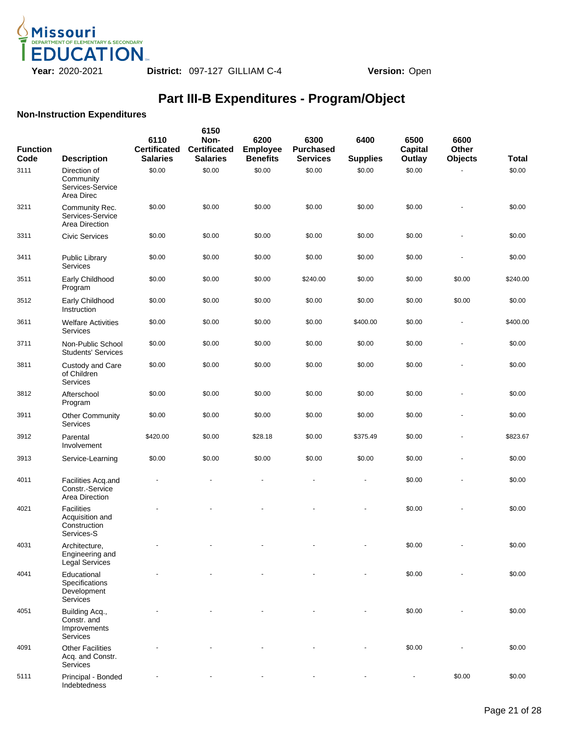

#### **Non-Instruction Expenditures**

| <b>Function</b><br>Code | <b>Description</b>                                                 | 6110<br><b>Certificated</b><br><b>Salaries</b> | 6150<br>Non-<br><b>Certificated</b><br><b>Salaries</b> | 6200<br><b>Employee</b><br><b>Benefits</b> | 6300<br><b>Purchased</b><br><b>Services</b> | 6400<br><b>Supplies</b> | 6500<br>Capital<br>Outlay | 6600<br>Other<br><b>Objects</b> | <b>Total</b> |
|-------------------------|--------------------------------------------------------------------|------------------------------------------------|--------------------------------------------------------|--------------------------------------------|---------------------------------------------|-------------------------|---------------------------|---------------------------------|--------------|
| 3111                    | Direction of<br>Community<br>Services-Service<br>Area Direc        | \$0.00                                         | \$0.00                                                 | \$0.00                                     | \$0.00                                      | \$0.00                  | \$0.00                    |                                 | \$0.00       |
| 3211                    | Community Rec.<br>Services-Service<br>Area Direction               | \$0.00                                         | \$0.00                                                 | \$0.00                                     | \$0.00                                      | \$0.00                  | \$0.00                    | ä,                              | \$0.00       |
| 3311                    | <b>Civic Services</b>                                              | \$0.00                                         | \$0.00                                                 | \$0.00                                     | \$0.00                                      | \$0.00                  | \$0.00                    |                                 | \$0.00       |
| 3411                    | Public Library<br>Services                                         | \$0.00                                         | \$0.00                                                 | \$0.00                                     | \$0.00                                      | \$0.00                  | \$0.00                    |                                 | \$0.00       |
| 3511                    | Early Childhood<br>Program                                         | \$0.00                                         | \$0.00                                                 | \$0.00                                     | \$240.00                                    | \$0.00                  | \$0.00                    | \$0.00                          | \$240.00     |
| 3512                    | Early Childhood<br>Instruction                                     | \$0.00                                         | \$0.00                                                 | \$0.00                                     | \$0.00                                      | \$0.00                  | \$0.00                    | \$0.00                          | \$0.00       |
| 3611                    | <b>Welfare Activities</b><br><b>Services</b>                       | \$0.00                                         | \$0.00                                                 | \$0.00                                     | \$0.00                                      | \$400.00                | \$0.00                    | ÷,                              | \$400.00     |
| 3711                    | Non-Public School<br><b>Students' Services</b>                     | \$0.00                                         | \$0.00                                                 | \$0.00                                     | \$0.00                                      | \$0.00                  | \$0.00                    | $\blacksquare$                  | \$0.00       |
| 3811                    | Custody and Care<br>of Children<br><b>Services</b>                 | \$0.00                                         | \$0.00                                                 | \$0.00                                     | \$0.00                                      | \$0.00                  | \$0.00                    | ä,                              | \$0.00       |
| 3812                    | Afterschool<br>Program                                             | \$0.00                                         | \$0.00                                                 | \$0.00                                     | \$0.00                                      | \$0.00                  | \$0.00                    |                                 | \$0.00       |
| 3911                    | <b>Other Community</b><br>Services                                 | \$0.00                                         | \$0.00                                                 | \$0.00                                     | \$0.00                                      | \$0.00                  | \$0.00                    | ä,                              | \$0.00       |
| 3912                    | Parental<br>Involvement                                            | \$420.00                                       | \$0.00                                                 | \$28.18                                    | \$0.00                                      | \$375.49                | \$0.00                    | ٠                               | \$823.67     |
| 3913                    | Service-Learning                                                   | \$0.00                                         | \$0.00                                                 | \$0.00                                     | \$0.00                                      | \$0.00                  | \$0.00                    | $\blacksquare$                  | \$0.00       |
| 4011                    | Facilities Acq.and<br>Constr.-Service<br>Area Direction            | $\overline{\phantom{a}}$                       |                                                        |                                            |                                             | ÷,                      | \$0.00                    | $\overline{\phantom{a}}$        | \$0.00       |
| 4021                    | <b>Facilities</b><br>Acquisition and<br>Construction<br>Services-S |                                                |                                                        |                                            |                                             |                         | \$0.00                    |                                 | \$0.00       |
| 4031                    | Architecture,<br>Engineering and<br><b>Legal Services</b>          |                                                |                                                        |                                            |                                             |                         | \$0.00                    |                                 | \$0.00       |
| 4041                    | Educational<br>Specifications<br>Development<br>Services           |                                                |                                                        |                                            |                                             |                         | \$0.00                    |                                 | \$0.00       |
| 4051                    | Building Acq.,<br>Constr. and<br>Improvements<br>Services          |                                                |                                                        |                                            |                                             |                         | \$0.00                    |                                 | \$0.00       |
| 4091                    | <b>Other Facilities</b><br>Acq. and Constr.<br>Services            |                                                |                                                        |                                            |                                             |                         | \$0.00                    |                                 | \$0.00       |
| 5111                    | Principal - Bonded<br>Indebtedness                                 |                                                |                                                        |                                            |                                             |                         |                           | \$0.00                          | \$0.00       |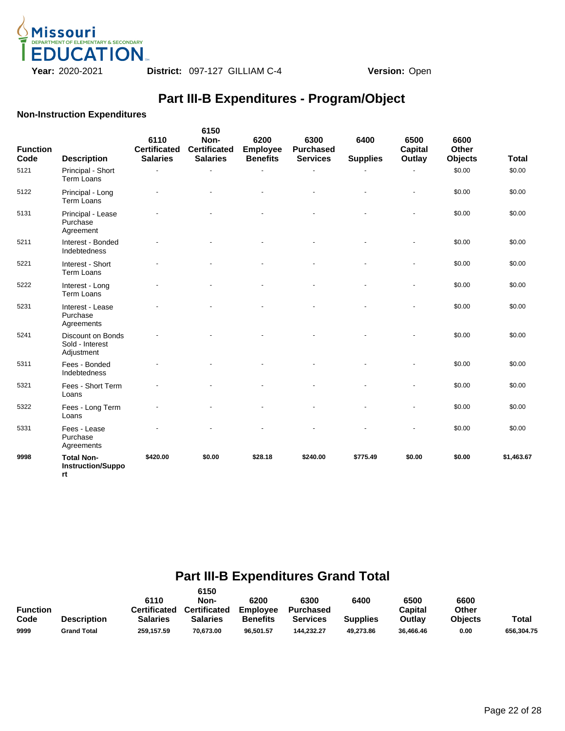

#### **Non-Instruction Expenditures**

| <b>Function</b><br>Code | <b>Description</b>                                  | 6110<br><b>Certificated</b><br><b>Salaries</b> | 6150<br>Non-<br><b>Certificated</b><br><b>Salaries</b> | 6200<br><b>Employee</b><br><b>Benefits</b> | 6300<br><b>Purchased</b><br><b>Services</b> | 6400<br><b>Supplies</b> | 6500<br><b>Capital</b><br>Outlay | 6600<br>Other<br><b>Objects</b> | <b>Total</b> |
|-------------------------|-----------------------------------------------------|------------------------------------------------|--------------------------------------------------------|--------------------------------------------|---------------------------------------------|-------------------------|----------------------------------|---------------------------------|--------------|
| 5121                    | Principal - Short<br>Term Loans                     |                                                |                                                        |                                            |                                             |                         |                                  | \$0.00                          | \$0.00       |
| 5122                    | Principal - Long<br>Term Loans                      |                                                |                                                        |                                            |                                             |                         |                                  | \$0.00                          | \$0.00       |
| 5131                    | Principal - Lease<br>Purchase<br>Agreement          |                                                |                                                        |                                            |                                             |                         |                                  | \$0.00                          | \$0.00       |
| 5211                    | Interest - Bonded<br>Indebtedness                   |                                                |                                                        |                                            |                                             |                         |                                  | \$0.00                          | \$0.00       |
| 5221                    | Interest - Short<br>Term Loans                      |                                                |                                                        |                                            |                                             |                         |                                  | \$0.00                          | \$0.00       |
| 5222                    | Interest - Long<br><b>Term Loans</b>                |                                                |                                                        |                                            |                                             |                         |                                  | \$0.00                          | \$0.00       |
| 5231                    | Interest - Lease<br>Purchase<br>Agreements          |                                                |                                                        |                                            |                                             |                         |                                  | \$0.00                          | \$0.00       |
| 5241                    | Discount on Bonds<br>Sold - Interest<br>Adjustment  |                                                |                                                        |                                            |                                             |                         |                                  | \$0.00                          | \$0.00       |
| 5311                    | Fees - Bonded<br>Indebtedness                       |                                                |                                                        |                                            |                                             |                         |                                  | \$0.00                          | \$0.00       |
| 5321                    | Fees - Short Term<br>Loans                          |                                                |                                                        |                                            |                                             |                         |                                  | \$0.00                          | \$0.00       |
| 5322                    | Fees - Long Term<br>Loans                           |                                                |                                                        |                                            |                                             |                         |                                  | \$0.00                          | \$0.00       |
| 5331                    | Fees - Lease<br>Purchase<br>Agreements              |                                                |                                                        |                                            |                                             |                         |                                  | \$0.00                          | \$0.00       |
| 9998                    | <b>Total Non-</b><br><b>Instruction/Suppo</b><br>rt | \$420.00                                       | \$0.00                                                 | \$28.18                                    | \$240.00                                    | \$775.49                | \$0.00                           | \$0.00                          | \$1,463.67   |

# **Part III-B Expenditures Grand Total**

|                 |                    |                 | 6150            |                 |                  |                 |           |                |            |
|-----------------|--------------------|-----------------|-----------------|-----------------|------------------|-----------------|-----------|----------------|------------|
|                 |                    | 6110            | Non-            | 6200            | 6300             | 6400            | 6500      | 6600           |            |
| <b>Function</b> |                    | Certificated    | Certificated    | <b>Employee</b> | <b>Purchased</b> |                 | Capital   | Other          |            |
| Code            | <b>Description</b> | <b>Salaries</b> | <b>Salaries</b> | <b>Benefits</b> | <b>Services</b>  | <b>Supplies</b> | Outlay    | <b>Objects</b> | Total      |
| 9999            | <b>Grand Total</b> | 259.157.59      | 70.673.00       | 96.501.57       | 144.232.27       | 49.273.86       | 36.466.46 | 0.00           | 656.304.75 |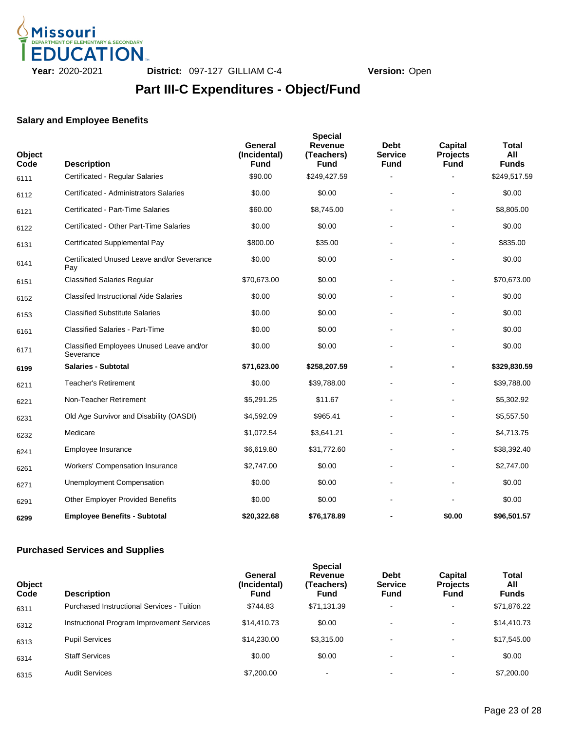

## **Part III-C Expenditures - Object/Fund**

#### **Salary and Employee Benefits**

| Object<br>Code | <b>Description</b>                                    | General<br>(Incidental)<br><b>Fund</b> | <b>Special</b><br><b>Revenue</b><br>(Teachers)<br><b>Fund</b> | <b>Debt</b><br><b>Service</b><br><b>Fund</b> | Capital<br><b>Projects</b><br><b>Fund</b> | <b>Total</b><br>All<br><b>Funds</b> |
|----------------|-------------------------------------------------------|----------------------------------------|---------------------------------------------------------------|----------------------------------------------|-------------------------------------------|-------------------------------------|
| 6111           | Certificated - Regular Salaries                       | \$90.00                                | \$249,427.59                                                  |                                              |                                           | \$249,517.59                        |
| 6112           | Certificated - Administrators Salaries                | \$0.00                                 | \$0.00                                                        |                                              |                                           | \$0.00                              |
| 6121           | Certificated - Part-Time Salaries                     | \$60.00                                | \$8,745.00                                                    |                                              |                                           | \$8,805.00                          |
| 6122           | Certificated - Other Part-Time Salaries               | \$0.00                                 | \$0.00                                                        |                                              |                                           | \$0.00                              |
| 6131           | <b>Certificated Supplemental Pay</b>                  | \$800.00                               | \$35.00                                                       |                                              |                                           | \$835.00                            |
| 6141           | Certificated Unused Leave and/or Severance<br>Pay     | \$0.00                                 | \$0.00                                                        |                                              |                                           | \$0.00                              |
| 6151           | <b>Classified Salaries Regular</b>                    | \$70,673.00                            | \$0.00                                                        | $\blacksquare$                               | $\blacksquare$                            | \$70,673.00                         |
| 6152           | <b>Classifed Instructional Aide Salaries</b>          | \$0.00                                 | \$0.00                                                        |                                              |                                           | \$0.00                              |
| 6153           | <b>Classified Substitute Salaries</b>                 | \$0.00                                 | \$0.00                                                        |                                              |                                           | \$0.00                              |
| 6161           | <b>Classified Salaries - Part-Time</b>                | \$0.00                                 | \$0.00                                                        |                                              |                                           | \$0.00                              |
| 6171           | Classified Employees Unused Leave and/or<br>Severance | \$0.00                                 | \$0.00                                                        |                                              |                                           | \$0.00                              |
| 6199           | <b>Salaries - Subtotal</b>                            | \$71,623.00                            | \$258,207.59                                                  |                                              |                                           | \$329,830.59                        |
| 6211           | <b>Teacher's Retirement</b>                           | \$0.00                                 | \$39,788.00                                                   |                                              |                                           | \$39,788.00                         |
| 6221           | Non-Teacher Retirement                                | \$5,291.25                             | \$11.67                                                       |                                              |                                           | \$5,302.92                          |
| 6231           | Old Age Survivor and Disability (OASDI)               | \$4,592.09                             | \$965.41                                                      |                                              |                                           | \$5,557.50                          |
| 6232           | Medicare                                              | \$1,072.54                             | \$3,641.21                                                    |                                              |                                           | \$4,713.75                          |
| 6241           | Employee Insurance                                    | \$6,619.80                             | \$31,772.60                                                   |                                              |                                           | \$38,392.40                         |
| 6261           | <b>Workers' Compensation Insurance</b>                | \$2,747.00                             | \$0.00                                                        |                                              |                                           | \$2,747.00                          |
| 6271           | <b>Unemployment Compensation</b>                      | \$0.00                                 | \$0.00                                                        |                                              |                                           | \$0.00                              |
| 6291           | <b>Other Employer Provided Benefits</b>               | \$0.00                                 | \$0.00                                                        |                                              |                                           | \$0.00                              |
| 6299           | <b>Employee Benefits - Subtotal</b>                   | \$20,322.68                            | \$76,178.89                                                   |                                              | \$0.00                                    | \$96,501.57                         |

### **Purchased Services and Supplies**

| <b>Object</b><br>Code | <b>Description</b>                         | General<br>(Incidental)<br><b>Fund</b> | <b>Special</b><br>Revenue<br>(Teachers)<br>Fund | <b>Debt</b><br><b>Service</b><br><b>Fund</b> | <b>Capital</b><br><b>Projects</b><br>Fund | <b>Total</b><br>All<br><b>Funds</b> |
|-----------------------|--------------------------------------------|----------------------------------------|-------------------------------------------------|----------------------------------------------|-------------------------------------------|-------------------------------------|
| 6311                  | Purchased Instructional Services - Tuition | \$744.83                               | \$71,131.39                                     | $\blacksquare$                               | ۰.                                        | \$71,876.22                         |
| 6312                  | Instructional Program Improvement Services | \$14,410.73                            | \$0.00                                          | $\,$                                         | ۰                                         | \$14,410.73                         |
| 6313                  | <b>Pupil Services</b>                      | \$14,230.00                            | \$3,315.00                                      | $\overline{\phantom{a}}$                     | ۰                                         | \$17,545.00                         |
| 6314                  | <b>Staff Services</b>                      | \$0.00                                 | \$0.00                                          | $\,$                                         | ۰                                         | \$0.00                              |
| 6315                  | <b>Audit Services</b>                      | \$7,200.00                             | $\overline{\phantom{0}}$                        |                                              |                                           | \$7,200,00                          |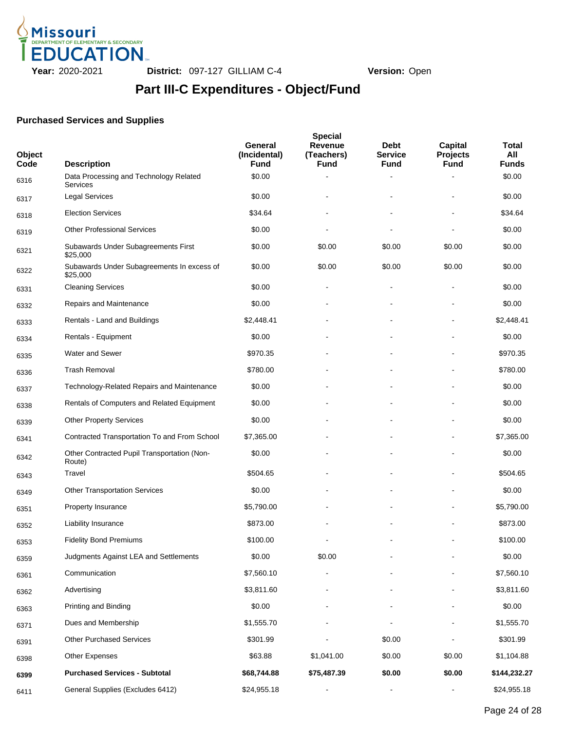

# **Part III-C Expenditures - Object/Fund**

### **Purchased Services and Supplies**

| <b>Object</b><br>Code | <b>Description</b>                                        | General<br>(Incidental)<br>Fund | <b>Special</b><br><b>Revenue</b><br>(Teachers)<br><b>Fund</b> | <b>Debt</b><br>Service<br><b>Fund</b> | Capital<br><b>Projects</b><br><b>Fund</b> | Total<br>All<br><b>Funds</b> |
|-----------------------|-----------------------------------------------------------|---------------------------------|---------------------------------------------------------------|---------------------------------------|-------------------------------------------|------------------------------|
| 6316                  | Data Processing and Technology Related<br><b>Services</b> | \$0.00                          |                                                               | Ē,                                    |                                           | \$0.00                       |
| 6317                  | <b>Legal Services</b>                                     | \$0.00                          |                                                               |                                       |                                           | \$0.00                       |
| 6318                  | <b>Election Services</b>                                  | \$34.64                         |                                                               |                                       |                                           | \$34.64                      |
| 6319                  | <b>Other Professional Services</b>                        | \$0.00                          |                                                               |                                       |                                           | \$0.00                       |
| 6321                  | Subawards Under Subagreements First<br>\$25,000           | \$0.00                          | \$0.00                                                        | \$0.00                                | \$0.00                                    | \$0.00                       |
| 6322                  | Subawards Under Subagreements In excess of<br>\$25,000    | \$0.00                          | \$0.00                                                        | \$0.00                                | \$0.00                                    | \$0.00                       |
| 6331                  | <b>Cleaning Services</b>                                  | \$0.00                          |                                                               | $\overline{\phantom{a}}$              |                                           | \$0.00                       |
| 6332                  | Repairs and Maintenance                                   | \$0.00                          |                                                               |                                       |                                           | \$0.00                       |
| 6333                  | Rentals - Land and Buildings                              | \$2,448.41                      |                                                               |                                       |                                           | \$2,448.41                   |
| 6334                  | Rentals - Equipment                                       | \$0.00                          |                                                               |                                       |                                           | \$0.00                       |
| 6335                  | Water and Sewer                                           | \$970.35                        |                                                               |                                       |                                           | \$970.35                     |
| 6336                  | <b>Trash Removal</b>                                      | \$780.00                        |                                                               |                                       |                                           | \$780.00                     |
| 6337                  | Technology-Related Repairs and Maintenance                | \$0.00                          |                                                               |                                       |                                           | \$0.00                       |
| 6338                  | Rentals of Computers and Related Equipment                | \$0.00                          |                                                               |                                       |                                           | \$0.00                       |
| 6339                  | <b>Other Property Services</b>                            | \$0.00                          |                                                               |                                       |                                           | \$0.00                       |
| 6341                  | Contracted Transportation To and From School              | \$7,365.00                      |                                                               |                                       |                                           | \$7,365.00                   |
| 6342                  | Other Contracted Pupil Transportation (Non-<br>Route)     | \$0.00                          |                                                               |                                       |                                           | \$0.00                       |
| 6343                  | Travel                                                    | \$504.65                        |                                                               |                                       |                                           | \$504.65                     |
| 6349                  | <b>Other Transportation Services</b>                      | \$0.00                          |                                                               |                                       |                                           | \$0.00                       |
| 6351                  | Property Insurance                                        | \$5,790.00                      |                                                               |                                       |                                           | \$5,790.00                   |
| 6352                  | Liability Insurance                                       | \$873.00                        |                                                               |                                       |                                           | \$873.00                     |
| 6353                  | <b>Fidelity Bond Premiums</b>                             | \$100.00                        |                                                               |                                       |                                           | \$100.00                     |
| 6359                  | Judgments Against LEA and Settlements                     | \$0.00                          | \$0.00                                                        |                                       |                                           | \$0.00                       |
| 6361                  | Communication                                             | \$7,560.10                      |                                                               |                                       |                                           | \$7,560.10                   |
| 6362                  | Advertising                                               | \$3,811.60                      |                                                               |                                       |                                           | \$3,811.60                   |
| 6363                  | Printing and Binding                                      | \$0.00                          |                                                               |                                       |                                           | \$0.00                       |
| 6371                  | Dues and Membership                                       | \$1,555.70                      |                                                               |                                       |                                           | \$1,555.70                   |
| 6391                  | <b>Other Purchased Services</b>                           | \$301.99                        |                                                               | \$0.00                                |                                           | \$301.99                     |
| 6398                  | Other Expenses                                            | \$63.88                         | \$1,041.00                                                    | \$0.00                                | \$0.00                                    | \$1,104.88                   |
| 6399                  | <b>Purchased Services - Subtotal</b>                      | \$68,744.88                     | \$75,487.39                                                   | \$0.00                                | \$0.00                                    | \$144,232.27                 |
| 6411                  | General Supplies (Excludes 6412)                          | \$24,955.18                     | $\qquad \qquad \blacksquare$                                  | $\blacksquare$                        | $\blacksquare$                            | \$24,955.18                  |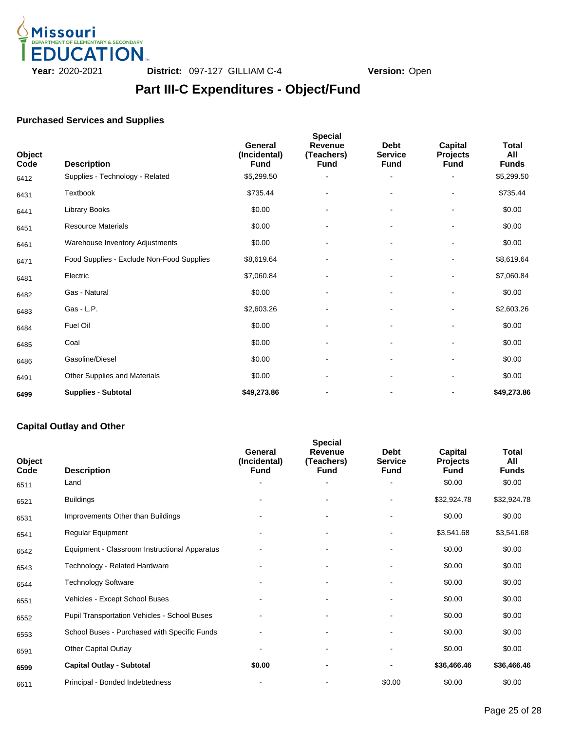

## **Part III-C Expenditures - Object/Fund**

### **Purchased Services and Supplies**

| Object<br>Code | <b>Description</b>                        | General<br>(Incidental)<br><b>Fund</b> | <b>Special</b><br><b>Revenue</b><br>(Teachers)<br><b>Fund</b> | <b>Debt</b><br><b>Service</b><br><b>Fund</b> | <b>Capital</b><br><b>Projects</b><br><b>Fund</b> | Total<br>All<br><b>Funds</b> |
|----------------|-------------------------------------------|----------------------------------------|---------------------------------------------------------------|----------------------------------------------|--------------------------------------------------|------------------------------|
| 6412           | Supplies - Technology - Related           | \$5,299.50                             | $\blacksquare$                                                |                                              |                                                  | \$5,299.50                   |
| 6431           | Textbook                                  | \$735.44                               |                                                               |                                              |                                                  | \$735.44                     |
| 6441           | <b>Library Books</b>                      | \$0.00                                 |                                                               |                                              |                                                  | \$0.00                       |
| 6451           | <b>Resource Materials</b>                 | \$0.00                                 |                                                               | $\blacksquare$                               | $\overline{\phantom{a}}$                         | \$0.00                       |
| 6461           | Warehouse Inventory Adjustments           | \$0.00                                 |                                                               |                                              | $\overline{\phantom{a}}$                         | \$0.00                       |
| 6471           | Food Supplies - Exclude Non-Food Supplies | \$8,619.64                             |                                                               |                                              |                                                  | \$8,619.64                   |
| 6481           | Electric                                  | \$7,060.84                             | $\overline{a}$                                                |                                              | $\overline{\phantom{0}}$                         | \$7,060.84                   |
| 6482           | Gas - Natural                             | \$0.00                                 |                                                               |                                              |                                                  | \$0.00                       |
| 6483           | Gas - L.P.                                | \$2,603.26                             |                                                               |                                              |                                                  | \$2,603.26                   |
| 6484           | Fuel Oil                                  | \$0.00                                 | $\overline{\phantom{a}}$                                      |                                              | $\overline{\phantom{a}}$                         | \$0.00                       |
| 6485           | Coal                                      | \$0.00                                 |                                                               |                                              |                                                  | \$0.00                       |
| 6486           | Gasoline/Diesel                           | \$0.00                                 |                                                               |                                              |                                                  | \$0.00                       |
| 6491           | Other Supplies and Materials              | \$0.00                                 |                                                               |                                              | $\blacksquare$                                   | \$0.00                       |
| 6499           | <b>Supplies - Subtotal</b>                | \$49,273.86                            |                                                               |                                              | $\blacksquare$                                   | \$49,273.86                  |

#### **Capital Outlay and Other**

|                | <b>Special</b>                                      |                                        |                                             |                                              |                                           |                              |  |  |  |  |  |
|----------------|-----------------------------------------------------|----------------------------------------|---------------------------------------------|----------------------------------------------|-------------------------------------------|------------------------------|--|--|--|--|--|
| Object<br>Code | <b>Description</b>                                  | General<br>(Incidental)<br><b>Fund</b> | <b>Revenue</b><br>(Teachers)<br><b>Fund</b> | <b>Debt</b><br><b>Service</b><br><b>Fund</b> | Capital<br><b>Projects</b><br><b>Fund</b> | Total<br>All<br><b>Funds</b> |  |  |  |  |  |
| 6511           | Land                                                |                                        |                                             |                                              | \$0.00                                    | \$0.00                       |  |  |  |  |  |
| 6521           | <b>Buildings</b>                                    |                                        |                                             |                                              | \$32,924.78                               | \$32,924.78                  |  |  |  |  |  |
| 6531           | Improvements Other than Buildings                   |                                        |                                             | $\blacksquare$                               | \$0.00                                    | \$0.00                       |  |  |  |  |  |
| 6541           | Regular Equipment                                   |                                        |                                             |                                              | \$3,541.68                                | \$3,541.68                   |  |  |  |  |  |
| 6542           | Equipment - Classroom Instructional Apparatus       |                                        |                                             |                                              | \$0.00                                    | \$0.00                       |  |  |  |  |  |
| 6543           | Technology - Related Hardware                       |                                        |                                             |                                              | \$0.00                                    | \$0.00                       |  |  |  |  |  |
| 6544           | <b>Technology Software</b>                          |                                        |                                             |                                              | \$0.00                                    | \$0.00                       |  |  |  |  |  |
| 6551           | Vehicles - Except School Buses                      |                                        |                                             |                                              | \$0.00                                    | \$0.00                       |  |  |  |  |  |
| 6552           | <b>Pupil Transportation Vehicles - School Buses</b> |                                        |                                             |                                              | \$0.00                                    | \$0.00                       |  |  |  |  |  |
| 6553           | School Buses - Purchased with Specific Funds        |                                        |                                             |                                              | \$0.00                                    | \$0.00                       |  |  |  |  |  |
| 6591           | <b>Other Capital Outlay</b>                         |                                        |                                             |                                              | \$0.00                                    | \$0.00                       |  |  |  |  |  |
| 6599           | <b>Capital Outlay - Subtotal</b>                    | \$0.00                                 |                                             |                                              | \$36,466.46                               | \$36,466.46                  |  |  |  |  |  |
| 6611           | Principal - Bonded Indebtedness                     |                                        |                                             | \$0.00                                       | \$0.00                                    | \$0.00                       |  |  |  |  |  |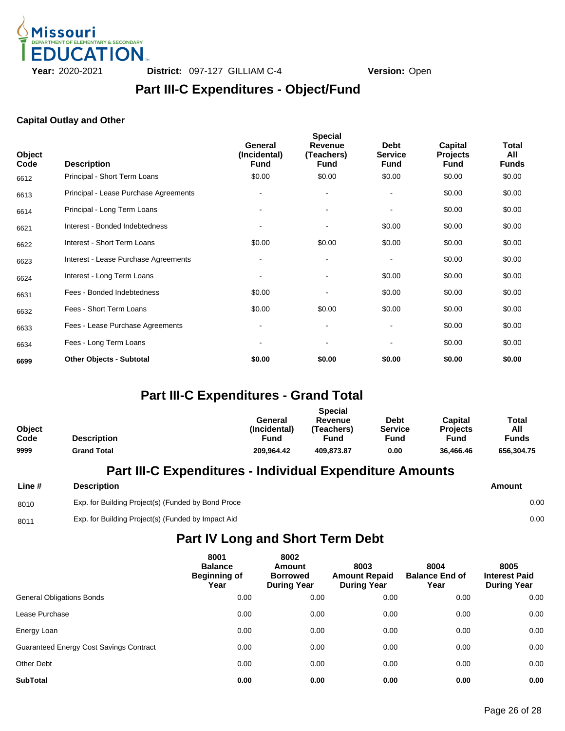

### **Part III-C Expenditures - Object/Fund**

#### **Capital Outlay and Other**

| Object<br>Code | <b>Description</b>                    | General<br>(Incidental)<br><b>Fund</b> | <b>Special</b><br><b>Revenue</b><br>(Teachers)<br><b>Fund</b> | <b>Debt</b><br><b>Service</b><br><b>Fund</b> | Capital<br><b>Projects</b><br><b>Fund</b> | Total<br>All<br><b>Funds</b> |
|----------------|---------------------------------------|----------------------------------------|---------------------------------------------------------------|----------------------------------------------|-------------------------------------------|------------------------------|
| 6612           | Principal - Short Term Loans          | \$0.00                                 | \$0.00                                                        | \$0.00                                       | \$0.00                                    | \$0.00                       |
| 6613           | Principal - Lease Purchase Agreements | $\blacksquare$                         | $\blacksquare$                                                |                                              | \$0.00                                    | \$0.00                       |
| 6614           | Principal - Long Term Loans           |                                        | $\blacksquare$                                                |                                              | \$0.00                                    | \$0.00                       |
| 6621           | Interest - Bonded Indebtedness        |                                        |                                                               | \$0.00                                       | \$0.00                                    | \$0.00                       |
| 6622           | Interest - Short Term Loans           | \$0.00                                 | \$0.00                                                        | \$0.00                                       | \$0.00                                    | \$0.00                       |
| 6623           | Interest - Lease Purchase Agreements  | $\sim$                                 | $\blacksquare$                                                |                                              | \$0.00                                    | \$0.00                       |
| 6624           | Interest - Long Term Loans            |                                        |                                                               | \$0.00                                       | \$0.00                                    | \$0.00                       |
| 6631           | Fees - Bonded Indebtedness            | \$0.00                                 |                                                               | \$0.00                                       | \$0.00                                    | \$0.00                       |
| 6632           | Fees - Short Term Loans               | \$0.00                                 | \$0.00                                                        | \$0.00                                       | \$0.00                                    | \$0.00                       |
| 6633           | Fees - Lease Purchase Agreements      |                                        | $\blacksquare$                                                |                                              | \$0.00                                    | \$0.00                       |
| 6634           | Fees - Long Term Loans                |                                        |                                                               |                                              | \$0.00                                    | \$0.00                       |
| 6699           | <b>Other Objects - Subtotal</b>       | \$0.00                                 | \$0.00                                                        | \$0.00                                       | \$0.00                                    | \$0.00                       |

### **Part III-C Expenditures - Grand Total**

|               |                    | <b>Special</b> |            |                |                 |              |  |  |  |
|---------------|--------------------|----------------|------------|----------------|-----------------|--------------|--|--|--|
|               |                    | General        | Revenue    | <b>Debt</b>    | Capital         | Total        |  |  |  |
| <b>Object</b> |                    | (Incidental)   | 'Teachers) | <b>Service</b> | <b>Projects</b> | All          |  |  |  |
| Code          | <b>Description</b> | Fund           | Fund       | Fund           | Fund            | <b>Funds</b> |  |  |  |
| 9999          | <b>Grand Total</b> | 209.964.42     | 409.873.87 | 0.00           | 36.466.46       | 656.304.75   |  |  |  |

### **Part III-C Expenditures - Individual Expenditure Amounts**

| Line # | <b>Description</b>                                 | Amount |      |
|--------|----------------------------------------------------|--------|------|
| 8010   | Exp. for Building Project(s) (Funded by Bond Proce |        | 0.00 |
| 8011   | Exp. for Building Project(s) (Funded by Impact Aid |        | 0.00 |

### **Part IV Long and Short Term Debt**

|                                                | 8001<br><b>Balance</b><br><b>Beginning of</b><br>Year | 8002<br>Amount<br><b>Borrowed</b><br><b>During Year</b> | 8003<br><b>Amount Repaid</b><br><b>During Year</b> | 8004<br><b>Balance End of</b><br>Year | 8005<br><b>Interest Paid</b><br><b>During Year</b> |
|------------------------------------------------|-------------------------------------------------------|---------------------------------------------------------|----------------------------------------------------|---------------------------------------|----------------------------------------------------|
| <b>General Obligations Bonds</b>               | 0.00                                                  | 0.00                                                    | 0.00                                               | 0.00                                  | 0.00                                               |
| Lease Purchase                                 | 0.00                                                  | 0.00                                                    | 0.00                                               | 0.00                                  | 0.00                                               |
| Energy Loan                                    | 0.00                                                  | 0.00                                                    | 0.00                                               | 0.00                                  | 0.00                                               |
| <b>Guaranteed Energy Cost Savings Contract</b> | 0.00                                                  | 0.00                                                    | 0.00                                               | 0.00                                  | 0.00                                               |
| <b>Other Debt</b>                              | 0.00                                                  | 0.00                                                    | 0.00                                               | 0.00                                  | 0.00                                               |
| <b>SubTotal</b>                                | 0.00                                                  | 0.00                                                    | 0.00                                               | 0.00                                  | 0.00                                               |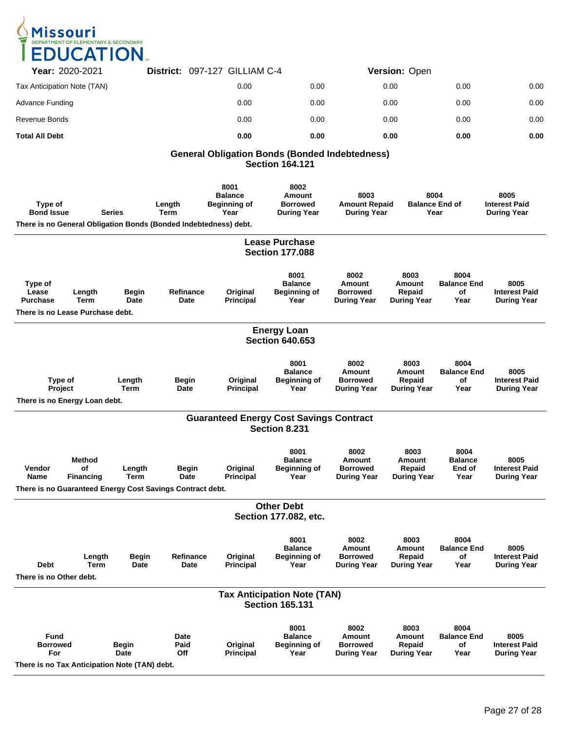

| <b>Year: 2020-2021</b>      | District: 097-127 GILLIAM C-4 |      | Version: Open |      |      |
|-----------------------------|-------------------------------|------|---------------|------|------|
| Tax Anticipation Note (TAN) | 0.00                          | 0.00 | 0.00          | 0.00 | 0.00 |
| Advance Funding             | 0.00                          | 0.00 | 0.00          | 0.00 | 0.00 |
| Revenue Bonds               | 0.00                          | 0.00 | 0.00          | 0.00 | 0.00 |
| <b>Total All Debt</b>       | 0.00                          | 0.00 | 0.00          | 0.00 | 0.00 |

#### **General Obligation Bonds (Bonded Indebtedness) Section 164.121**

| Type of<br><b>Bond Issue</b>                                                           |                                         | <b>Series</b>         | Length<br><b>Term</b>                                                             | 8001<br><b>Balance</b><br><b>Beginning of</b><br>Year | 8002<br><b>Amount</b><br><b>Borrowed</b><br><b>During Year</b> | 8003<br><b>Amount Repaid</b><br><b>During Year</b>             |                                                       | 8004<br><b>Balance End of</b><br>Year    | 8005<br><b>Interest Paid</b><br><b>During Year</b> |
|----------------------------------------------------------------------------------------|-----------------------------------------|-----------------------|-----------------------------------------------------------------------------------|-------------------------------------------------------|----------------------------------------------------------------|----------------------------------------------------------------|-------------------------------------------------------|------------------------------------------|----------------------------------------------------|
|                                                                                        |                                         |                       | There is no General Obligation Bonds (Bonded Indebtedness) debt.                  |                                                       |                                                                |                                                                |                                                       |                                          |                                                    |
|                                                                                        |                                         |                       |                                                                                   |                                                       | <b>Lease Purchase</b><br><b>Section 177.088</b>                |                                                                |                                                       |                                          |                                                    |
| Type of<br>Lease<br><b>Purchase</b>                                                    | Length<br>Term                          | Begin<br>Date         | Refinance<br>Date                                                                 | Original<br>Principal                                 | 8001<br><b>Balance</b><br>Beginning of<br>Year                 | 8002<br><b>Amount</b><br><b>Borrowed</b><br><b>During Year</b> | 8003<br>Amount<br>Repaid<br><b>During Year</b>        | 8004<br><b>Balance End</b><br>οf<br>Year | 8005<br><b>Interest Paid</b><br><b>During Year</b> |
| There is no Lease Purchase debt.                                                       |                                         |                       |                                                                                   |                                                       |                                                                |                                                                |                                                       |                                          |                                                    |
|                                                                                        |                                         |                       |                                                                                   |                                                       | <b>Energy Loan</b><br><b>Section 640.653</b>                   |                                                                |                                                       |                                          |                                                    |
| Type of<br>Project<br>There is no Energy Loan debt.                                    |                                         | Length<br><b>Term</b> | Begin<br>Date                                                                     | Original<br><b>Principal</b>                          | 8001<br><b>Balance</b><br><b>Beginning of</b><br>Year          | 8002<br>Amount<br><b>Borrowed</b><br>During Year               | 8003<br>Amount<br>Repaid<br><b>During Year</b>        | 8004<br><b>Balance End</b><br>οf<br>Year | 8005<br><b>Interest Paid</b><br><b>During Year</b> |
|                                                                                        |                                         |                       |                                                                                   |                                                       | <b>Guaranteed Energy Cost Savings Contract</b>                 |                                                                |                                                       |                                          |                                                    |
|                                                                                        |                                         |                       |                                                                                   |                                                       | Section 8.231                                                  |                                                                |                                                       |                                          |                                                    |
| Vendor<br><b>Name</b>                                                                  | <b>Method</b><br>of<br><b>Financing</b> | Length<br>Term        | <b>Begin</b><br>Date<br>There is no Guaranteed Energy Cost Savings Contract debt. | Original<br><b>Principal</b>                          | 8001<br><b>Balance</b><br><b>Beginning of</b><br>Year          | 8002<br><b>Amount</b><br><b>Borrowed</b><br><b>During Year</b> | 8003<br>Amount<br>Repaid<br><b>During Year</b>        | 8004<br><b>Balance</b><br>End of<br>Year | 8005<br><b>Interest Paid</b><br><b>During Year</b> |
|                                                                                        |                                         |                       |                                                                                   |                                                       | <b>Other Debt</b>                                              |                                                                |                                                       |                                          |                                                    |
|                                                                                        |                                         |                       |                                                                                   |                                                       | Section 177.082, etc.                                          |                                                                |                                                       |                                          |                                                    |
| <b>Debt</b><br>There is no Other debt.                                                 | Length<br>Term                          | Begin<br>Date         | Refinance<br>Date                                                                 | Original<br><b>Principal</b>                          | 8001<br><b>Balance</b><br><b>Beginning of</b><br>Year          | 8002<br><b>Amount</b><br><b>Borrowed</b><br><b>During Year</b> | 8003<br><b>Amount</b><br>Repaid<br><b>During Year</b> | 8004<br>Balance End<br>of<br>Year        | 8005<br><b>Interest Paid</b><br>During Year        |
|                                                                                        |                                         |                       |                                                                                   |                                                       | Tax Anticipation Note (TAN)<br><b>Section 165.131</b>          |                                                                |                                                       |                                          |                                                    |
| <b>Fund</b><br><b>Borrowed</b><br>For<br>There is no Tax Anticipation Note (TAN) debt. |                                         | <b>Begin</b><br>Date  | Date<br>Paid<br>Off                                                               | Original<br>Principal                                 | 8001<br><b>Balance</b><br><b>Beginning of</b><br>Year          | 8002<br>Amount<br><b>Borrowed</b><br><b>During Year</b>        | 8003<br>Amount<br>Repaid<br><b>During Year</b>        | 8004<br><b>Balance End</b><br>οf<br>Year | 8005<br><b>Interest Paid</b><br><b>During Year</b> |